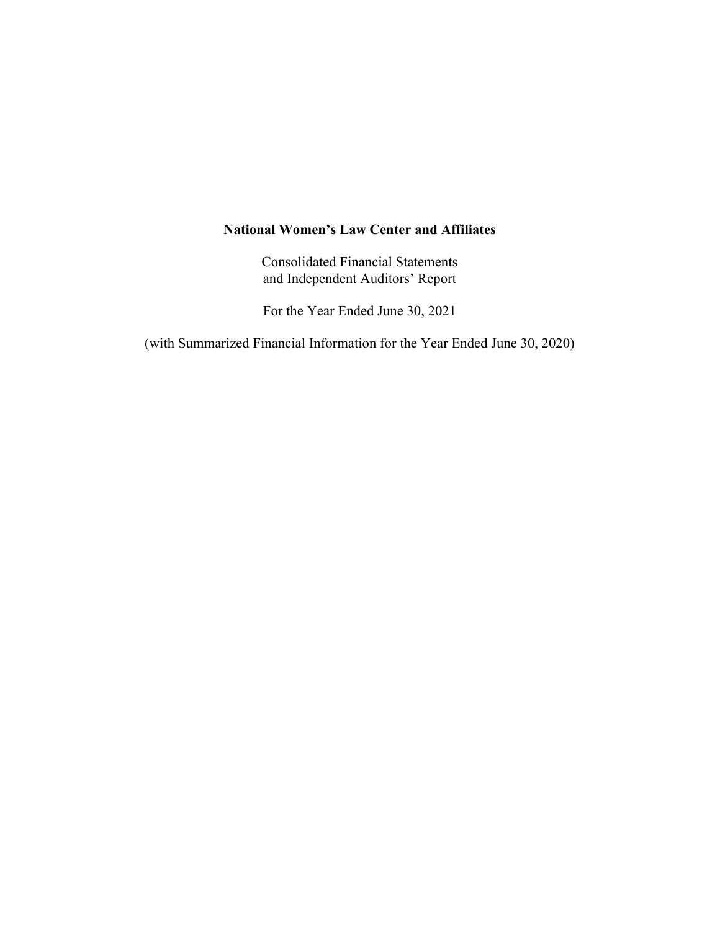Consolidated Financial Statements and Independent Auditors' Report

For the Year Ended June 30, 2021

(with Summarized Financial Information for the Year Ended June 30, 2020)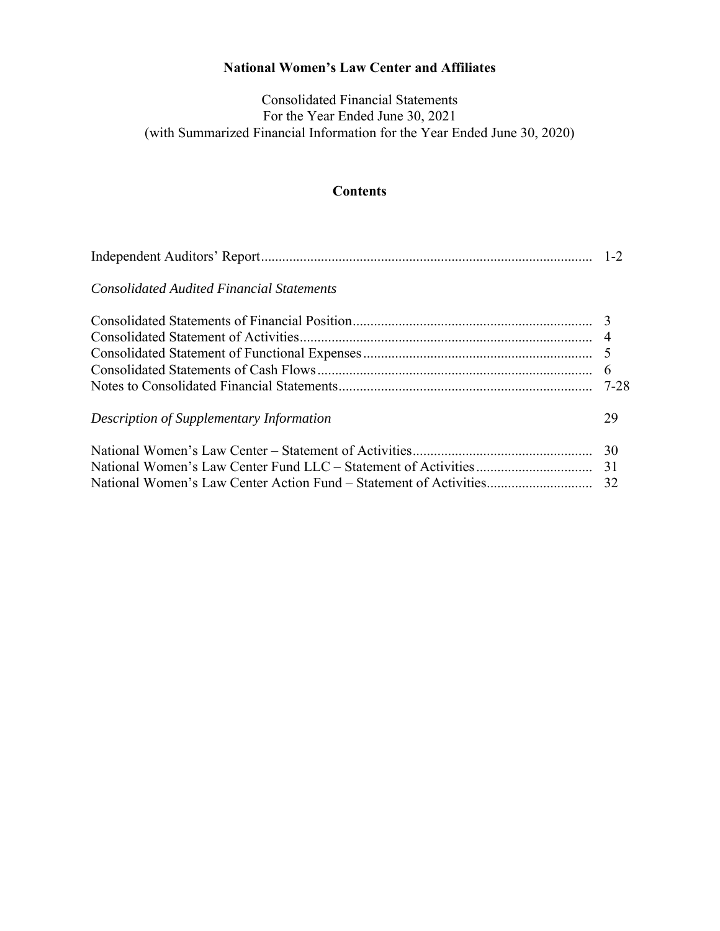# Consolidated Financial Statements For the Year Ended June 30, 2021 (with Summarized Financial Information for the Year Ended June 30, 2020)

# **Contents**

| <b>Consolidated Audited Financial Statements</b> |      |
|--------------------------------------------------|------|
|                                                  | 7-28 |
| Description of Supplementary Information         | 29   |
|                                                  |      |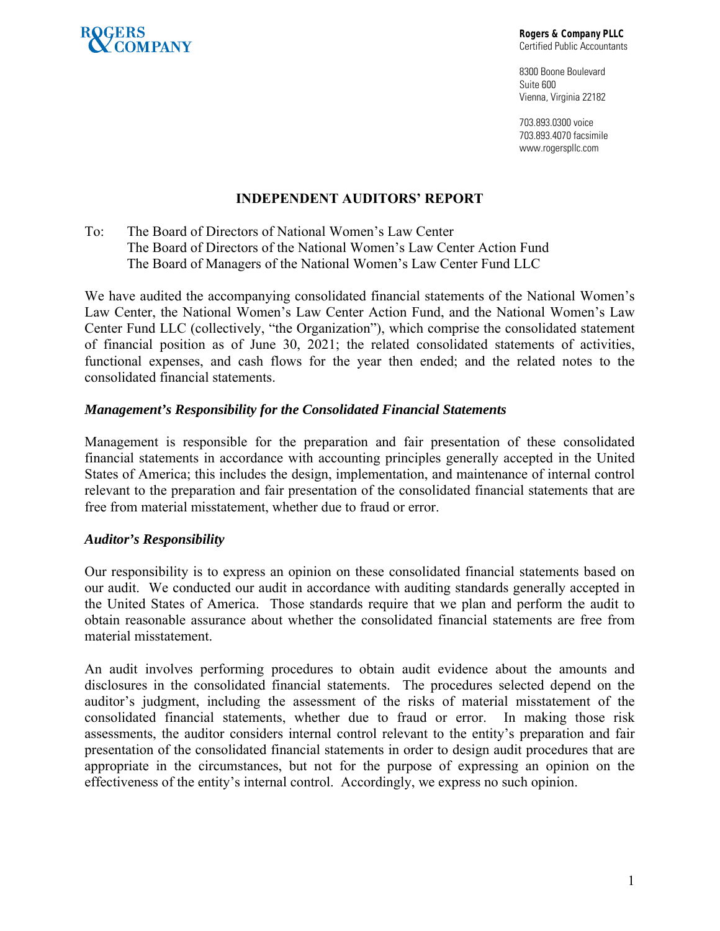

**Rogers & Company PLLC**  Certified Public Accountants

8300 Boone Boulevard Suite 600 Vienna, Virginia 22182

703.893.0300 voice 703.893.4070 facsimile www.rogerspllc.com

# **INDEPENDENT AUDITORS' REPORT**

To: The Board of Directors of National Women's Law Center The Board of Directors of the National Women's Law Center Action Fund The Board of Managers of the National Women's Law Center Fund LLC

We have audited the accompanying consolidated financial statements of the National Women's Law Center, the National Women's Law Center Action Fund, and the National Women's Law Center Fund LLC (collectively, "the Organization"), which comprise the consolidated statement of financial position as of June 30, 2021; the related consolidated statements of activities, functional expenses, and cash flows for the year then ended; and the related notes to the consolidated financial statements.

## *Management's Responsibility for the Consolidated Financial Statements*

Management is responsible for the preparation and fair presentation of these consolidated financial statements in accordance with accounting principles generally accepted in the United States of America; this includes the design, implementation, and maintenance of internal control relevant to the preparation and fair presentation of the consolidated financial statements that are free from material misstatement, whether due to fraud or error.

## *Auditor's Responsibility*

Our responsibility is to express an opinion on these consolidated financial statements based on our audit. We conducted our audit in accordance with auditing standards generally accepted in the United States of America. Those standards require that we plan and perform the audit to obtain reasonable assurance about whether the consolidated financial statements are free from material misstatement.

An audit involves performing procedures to obtain audit evidence about the amounts and disclosures in the consolidated financial statements. The procedures selected depend on the auditor's judgment, including the assessment of the risks of material misstatement of the consolidated financial statements, whether due to fraud or error. In making those risk assessments, the auditor considers internal control relevant to the entity's preparation and fair presentation of the consolidated financial statements in order to design audit procedures that are appropriate in the circumstances, but not for the purpose of expressing an opinion on the effectiveness of the entity's internal control. Accordingly, we express no such opinion.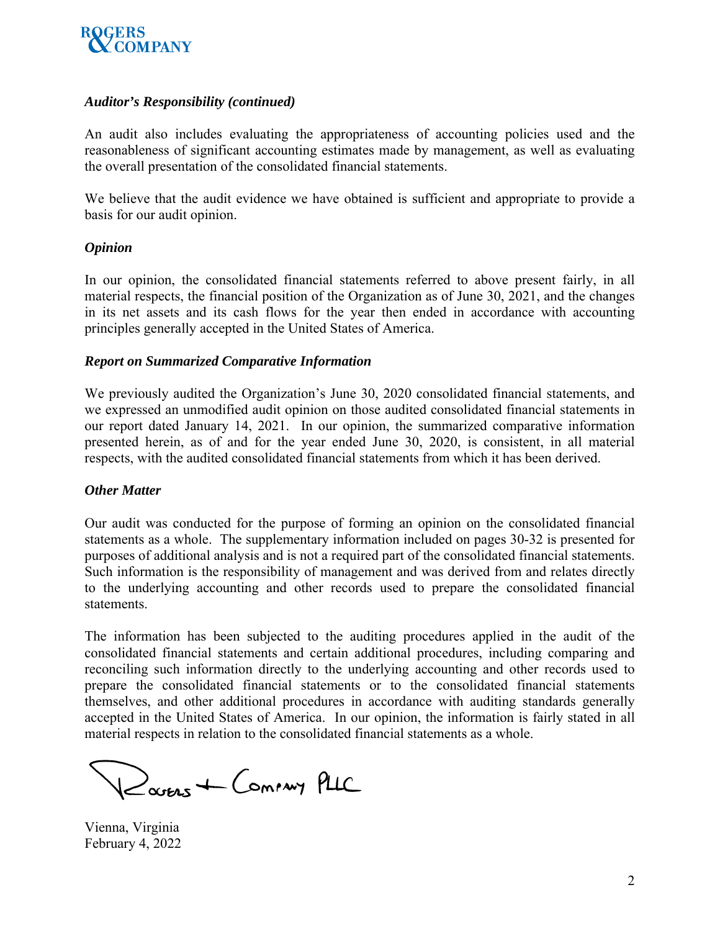# **ROGERS COMPANY**

# *Auditor's Responsibility (continued)*

An audit also includes evaluating the appropriateness of accounting policies used and the reasonableness of significant accounting estimates made by management, as well as evaluating the overall presentation of the consolidated financial statements.

We believe that the audit evidence we have obtained is sufficient and appropriate to provide a basis for our audit opinion.

## *Opinion*

In our opinion, the consolidated financial statements referred to above present fairly, in all material respects, the financial position of the Organization as of June 30, 2021, and the changes in its net assets and its cash flows for the year then ended in accordance with accounting principles generally accepted in the United States of America.

## *Report on Summarized Comparative Information*

We previously audited the Organization's June 30, 2020 consolidated financial statements, and we expressed an unmodified audit opinion on those audited consolidated financial statements in our report dated January 14, 2021. In our opinion, the summarized comparative information presented herein, as of and for the year ended June 30, 2020, is consistent, in all material respects, with the audited consolidated financial statements from which it has been derived.

## *Other Matter*

Our audit was conducted for the purpose of forming an opinion on the consolidated financial statements as a whole. The supplementary information included on pages 30-32 is presented for purposes of additional analysis and is not a required part of the consolidated financial statements. Such information is the responsibility of management and was derived from and relates directly to the underlying accounting and other records used to prepare the consolidated financial statements.

The information has been subjected to the auditing procedures applied in the audit of the consolidated financial statements and certain additional procedures, including comparing and reconciling such information directly to the underlying accounting and other records used to prepare the consolidated financial statements or to the consolidated financial statements themselves, and other additional procedures in accordance with auditing standards generally accepted in the United States of America. In our opinion, the information is fairly stated in all material respects in relation to the consolidated financial statements as a whole.

Davens + Coming PLIC

Vienna, Virginia February 4, 2022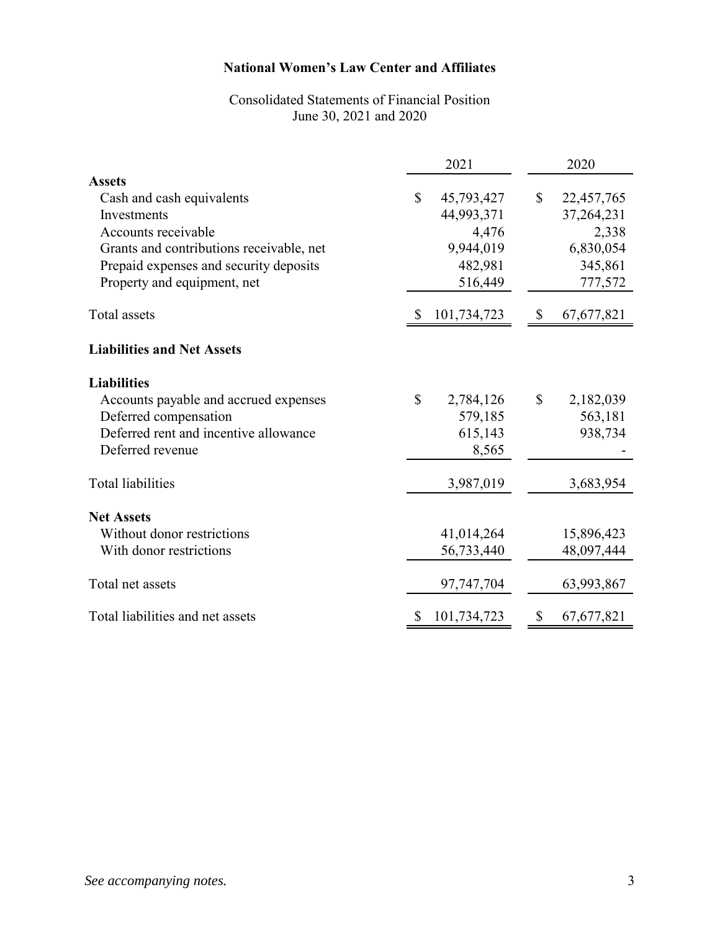# Consolidated Statements of Financial Position June 30, 2021 and 2020

|                                          |              | 2021        |              | 2020         |
|------------------------------------------|--------------|-------------|--------------|--------------|
| <b>Assets</b>                            |              |             |              |              |
| Cash and cash equivalents                | \$           | 45,793,427  | $\mathbb{S}$ | 22,457,765   |
| Investments                              |              | 44,993,371  |              | 37,264,231   |
| Accounts receivable                      |              | 4,476       |              | 2,338        |
| Grants and contributions receivable, net |              | 9,944,019   |              | 6,830,054    |
| Prepaid expenses and security deposits   |              | 482,981     |              | 345,861      |
| Property and equipment, net              |              | 516,449     |              | 777,572      |
| Total assets                             |              | 101,734,723 | $\mathbb{S}$ | 67, 677, 821 |
| <b>Liabilities and Net Assets</b>        |              |             |              |              |
| <b>Liabilities</b>                       |              |             |              |              |
| Accounts payable and accrued expenses    | $\mathbb{S}$ | 2,784,126   | \$           | 2,182,039    |
| Deferred compensation                    |              | 579,185     |              | 563,181      |
| Deferred rent and incentive allowance    |              | 615,143     |              | 938,734      |
| Deferred revenue                         |              | 8,565       |              |              |
| <b>Total liabilities</b>                 |              | 3,987,019   |              | 3,683,954    |
| <b>Net Assets</b>                        |              |             |              |              |
| Without donor restrictions               |              | 41,014,264  |              | 15,896,423   |
| With donor restrictions                  |              | 56,733,440  |              | 48,097,444   |
| Total net assets                         |              | 97,747,704  |              | 63,993,867   |
| Total liabilities and net assets         | \$           | 101,734,723 | \$           | 67, 677, 821 |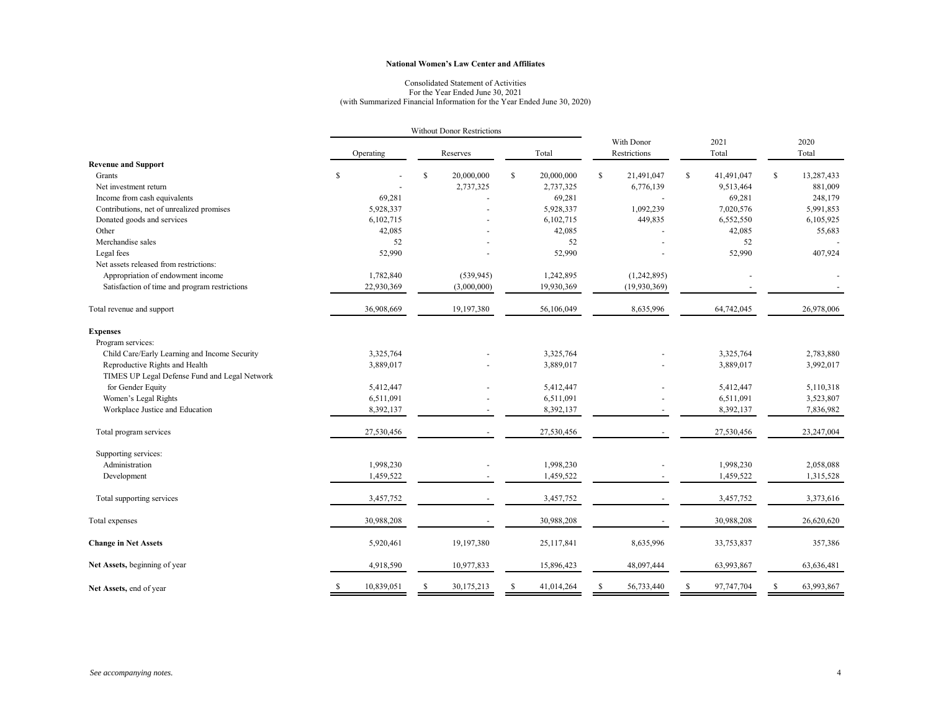#### Consolidated Statement of Activities For the Year Ended June 30, 2021 (with Summarized Financial Information for the Year Ended June 30, 2020)

|                                               | <b>Without Donor Restrictions</b> |    |             |    |            |    |                            |              |               |    |               |
|-----------------------------------------------|-----------------------------------|----|-------------|----|------------|----|----------------------------|--------------|---------------|----|---------------|
|                                               | Operating                         |    | Reserves    |    | Total      |    | With Donor<br>Restrictions |              | 2021<br>Total |    | 2020<br>Total |
| <b>Revenue and Support</b>                    |                                   |    |             |    |            |    |                            |              |               |    |               |
| Grants                                        | \$                                | S  | 20,000,000  | \$ | 20,000,000 | \$ | 21,491,047                 | $\mathbb{S}$ | 41,491,047    | \$ | 13,287,433    |
| Net investment return                         |                                   |    | 2,737,325   |    | 2,737,325  |    | 6,776,139                  |              | 9,513,464     |    | 881,009       |
| Income from cash equivalents                  | 69,281                            |    |             |    | 69,281     |    |                            |              | 69,281        |    | 248,179       |
| Contributions, net of unrealized promises     | 5,928,337                         |    |             |    | 5,928,337  |    | 1,092,239                  |              | 7,020,576     |    | 5,991,853     |
| Donated goods and services                    | 6,102,715                         |    |             |    | 6,102,715  |    | 449,835                    |              | 6,552,550     |    | 6,105,925     |
| Other                                         | 42,085                            |    |             |    | 42,085     |    |                            |              | 42,085        |    | 55,683        |
| Merchandise sales                             |                                   | 52 |             |    | 52         |    |                            |              | 52            |    |               |
| Legal fees                                    | 52,990                            |    |             |    | 52,990     |    |                            |              | 52,990        |    | 407,924       |
| Net assets released from restrictions:        |                                   |    |             |    |            |    |                            |              |               |    |               |
| Appropriation of endowment income             | 1,782,840                         |    | (539, 945)  |    | 1,242,895  |    | (1,242,895)                |              |               |    |               |
| Satisfaction of time and program restrictions | 22,930,369                        |    | (3,000,000) |    | 19,930,369 |    | (19,930,369)               |              |               |    |               |
| Total revenue and support                     | 36,908,669                        |    | 19,197,380  |    | 56,106,049 |    | 8,635,996                  |              | 64,742,045    |    | 26,978,006    |
| <b>Expenses</b>                               |                                   |    |             |    |            |    |                            |              |               |    |               |
| Program services:                             |                                   |    |             |    |            |    |                            |              |               |    |               |
| Child Care/Early Learning and Income Security | 3,325,764                         |    |             |    | 3,325,764  |    |                            |              | 3,325,764     |    | 2,783,880     |
| Reproductive Rights and Health                | 3,889,017                         |    |             |    | 3,889,017  |    |                            |              | 3,889,017     |    | 3,992,017     |
| TIMES UP Legal Defense Fund and Legal Network |                                   |    |             |    |            |    |                            |              |               |    |               |
| for Gender Equity                             | 5,412,447                         |    |             |    | 5,412,447  |    |                            |              | 5,412,447     |    | 5,110,318     |
| Women's Legal Rights                          | 6,511,091                         |    |             |    | 6,511,091  |    |                            |              | 6,511,091     |    | 3,523,807     |
| Workplace Justice and Education               | 8,392,137                         |    |             |    | 8,392,137  |    |                            |              | 8,392,137     |    | 7,836,982     |
| Total program services                        | 27,530,456                        |    |             |    | 27,530,456 |    |                            |              | 27,530,456    |    | 23,247,004    |
| Supporting services:                          |                                   |    |             |    |            |    |                            |              |               |    |               |
| Administration                                | 1,998,230                         |    |             |    | 1,998,230  |    |                            |              | 1,998,230     |    | 2,058,088     |
| Development                                   | 1,459,522                         |    |             |    | 1,459,522  |    |                            |              | 1,459,522     |    | 1,315,528     |
| Total supporting services                     | 3,457,752                         |    |             |    | 3,457,752  |    |                            |              | 3,457,752     |    | 3,373,616     |
| Total expenses                                | 30,988,208                        |    |             |    | 30,988,208 |    |                            |              | 30,988,208    |    | 26,620,620    |
| <b>Change in Net Assets</b>                   | 5,920,461                         |    | 19,197,380  |    | 25,117,841 |    | 8,635,996                  |              | 33,753,837    |    | 357,386       |
| Net Assets, beginning of year                 | 4,918,590                         |    | 10,977,833  |    | 15,896,423 |    | 48,097,444                 |              | 63,993,867    |    | 63,636,481    |
| Net Assets, end of year                       | 10,839,051<br>\$.                 |    | 30,175,213  | S  | 41,014,264 | S  | 56,733,440                 | -8           | 97,747,704    |    | 63,993,867    |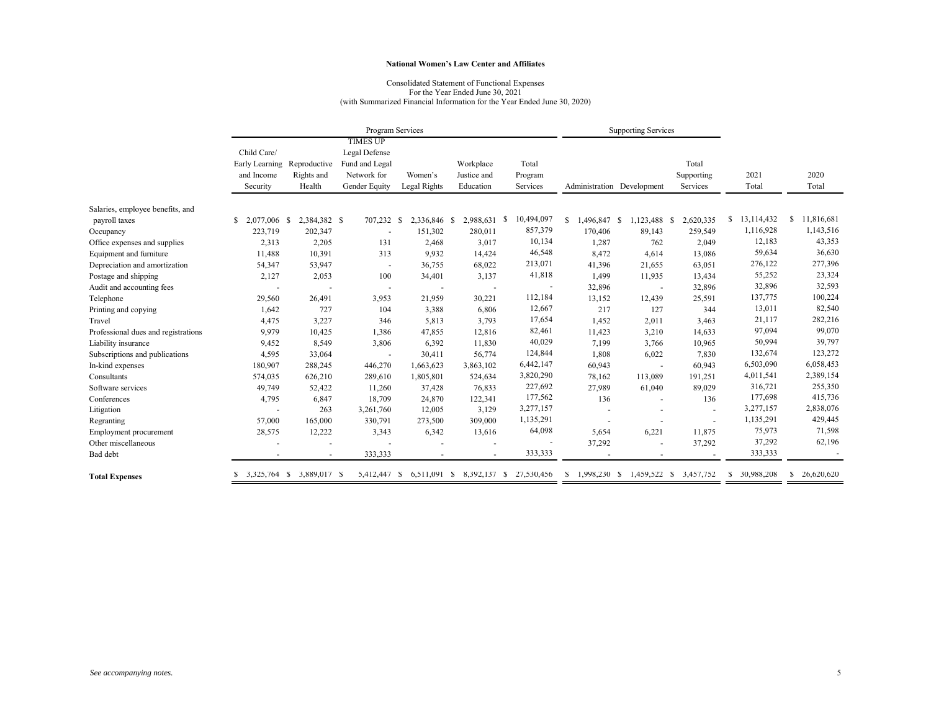#### Consolidated Statement of Functional Expenses For the Year Ended June 30, 2021 (with Summarized Financial Information for the Year Ended June 30, 2020)

|                                     | Program Services              |              |                                                    |              |              |                                                   |                            | <b>Supporting Services</b> |                        |                  |                 |
|-------------------------------------|-------------------------------|--------------|----------------------------------------------------|--------------|--------------|---------------------------------------------------|----------------------------|----------------------------|------------------------|------------------|-----------------|
|                                     | Child Care/<br>Early Learning | Reproductive | <b>TIMES UP</b><br>Legal Defense<br>Fund and Legal |              | Workplace    | Total                                             |                            |                            | Total                  |                  |                 |
|                                     | and Income                    | Rights and   | Network for                                        | Women's      | Justice and  | Program                                           |                            |                            | Supporting             | 2021             | 2020            |
|                                     | Security                      | Health       | Gender Equity                                      | Legal Rights | Education    | Services                                          | Administration Development |                            | Services               | Total            | Total           |
| Salaries, employee benefits, and    |                               |              |                                                    |              |              |                                                   |                            |                            |                        |                  |                 |
| payroll taxes                       | S.<br>2,077,006 \$            | 2,384,382 \$ | 707,232 \$                                         | 2,336,846 \$ | 2,988,631 \$ | 10,494,097                                        | 1,496,847 \$<br>S          | 1,123,488 \$               | 2,620,335              | 13,114,432<br>\$ | 11,816,681<br>S |
| Occupancy                           | 223,719                       | 202,347      |                                                    | 151,302      | 280,011      | 857,379                                           | 170,406                    | 89,143                     | 259,549                | 1,116,928        | 1,143,516       |
| Office expenses and supplies        | 2,313                         | 2,205        | 131                                                | 2,468        | 3,017        | 10,134                                            | 1,287                      | 762                        | 2,049                  | 12,183           | 43,353          |
| Equipment and furniture             | 11,488                        | 10,391       | 313                                                | 9,932        | 14,424       | 46,548                                            | 8,472                      | 4,614                      | 13,086                 | 59,634           | 36,630          |
| Depreciation and amortization       | 54,347                        | 53,947       |                                                    | 36,755       | 68,022       | 213,071                                           | 41,396                     | 21,655                     | 63,051                 | 276,122          | 277,396         |
| Postage and shipping                | 2,127                         | 2,053        | 100                                                | 34,401       | 3,137        | 41,818                                            | 1,499                      | 11,935                     | 13,434                 | 55,252           | 23,324          |
| Audit and accounting fees           |                               |              |                                                    |              |              |                                                   | 32,896                     |                            | 32,896                 | 32,896           | 32,593          |
| Telephone                           | 29,560                        | 26,491       | 3,953                                              | 21,959       | 30,221       | 112,184                                           | 13,152                     | 12,439                     | 25,591                 | 137,775          | 100,224         |
| Printing and copying                | 1,642                         | 727          | 104                                                | 3,388        | 6,806        | 12,667                                            | 217                        | 127                        | 344                    | 13,011           | 82,540          |
| Travel                              | 4,475                         | 3,227        | 346                                                | 5,813        | 3,793        | 17,654                                            | 1,452                      | 2,011                      | 3,463                  | 21,117           | 282,216         |
| Professional dues and registrations | 9,979                         | 10,425       | 1,386                                              | 47,855       | 12,816       | 82,461                                            | 11,423                     | 3,210                      | 14,633                 | 97,094           | 99,070          |
| Liability insurance                 | 9,452                         | 8,549        | 3,806                                              | 6,392        | 11,830       | 40,029                                            | 7,199                      | 3,766                      | 10,965                 | 50,994           | 39,797          |
| Subscriptions and publications      | 4,595                         | 33,064       |                                                    | 30,411       | 56,774       | 124,844                                           | 1,808                      | 6,022                      | 7,830                  | 132,674          | 123,272         |
| In-kind expenses                    | 180,907                       | 288,245      | 446,270                                            | 1,663,623    | 3,863,102    | 6,442,147                                         | 60,943                     | $\overline{\phantom{a}}$   | 60,943                 | 6,503,090        | 6,058,453       |
| Consultants                         | 574,035                       | 626,210      | 289,610                                            | 1,805,801    | 524,634      | 3,820,290                                         | 78,162                     | 113,089                    | 191,251                | 4,011,541        | 2,389,154       |
| Software services                   | 49,749                        | 52,422       | 11,260                                             | 37,428       | 76,833       | 227,692                                           | 27,989                     | 61,040                     | 89,029                 | 316,721          | 255,350         |
| Conferences                         | 4,795                         | 6,847        | 18,709                                             | 24,870       | 122,341      | 177,562                                           | 136                        |                            | 136                    | 177,698          | 415,736         |
| Litigation                          |                               | 263          | 3,261,760                                          | 12,005       | 3,129        | 3,277,157                                         |                            |                            |                        | 3,277,157        | 2,838,076       |
| Regranting                          | 57,000                        | 165,000      | 330,791                                            | 273,500      | 309,000      | 1,135,291                                         |                            |                            |                        | 1,135,291        | 429,445         |
| Employment procurement              | 28,575                        | 12,222       | 3,343                                              | 6,342        | 13,616       | 64,098                                            | 5,654                      | 6,221                      | 11,875                 | 75,973           | 71,598          |
| Other miscellaneous                 |                               |              |                                                    |              |              |                                                   | 37,292                     |                            | 37,292                 | 37,292           | 62,196          |
| Bad debt                            |                               |              | 333,333                                            |              |              | 333,333                                           |                            |                            |                        | 333,333          |                 |
| <b>Total Expenses</b>               | 3,325,764 \$                  | 3,889,017 \$ |                                                    |              |              | 5,412,447 \$ 6,511,091 \$ 8,392,137 \$ 27,530,456 |                            |                            | 1,459,522 \$ 3,457,752 | \$ 30,988,208    | \$ 26,620,620   |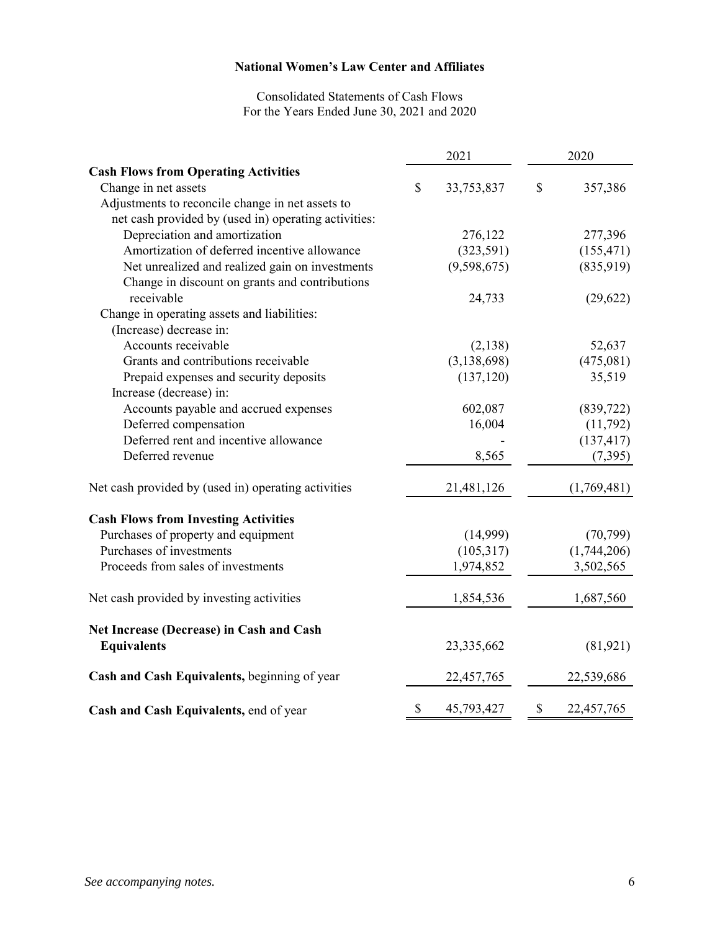#### Consolidated Statements of Cash Flows For the Years Ended June 30, 2021 and 2020

|                                                      | 2021 |               |                           | 2020        |
|------------------------------------------------------|------|---------------|---------------------------|-------------|
| <b>Cash Flows from Operating Activities</b>          |      |               |                           |             |
| Change in net assets                                 | \$   | 33,753,837    | \$                        | 357,386     |
| Adjustments to reconcile change in net assets to     |      |               |                           |             |
| net cash provided by (used in) operating activities: |      |               |                           |             |
| Depreciation and amortization                        |      | 276,122       |                           | 277,396     |
| Amortization of deferred incentive allowance         |      | (323, 591)    |                           | (155, 471)  |
| Net unrealized and realized gain on investments      |      | (9,598,675)   |                           | (835, 919)  |
| Change in discount on grants and contributions       |      |               |                           |             |
| receivable                                           |      | 24,733        |                           | (29,622)    |
| Change in operating assets and liabilities:          |      |               |                           |             |
| (Increase) decrease in:                              |      |               |                           |             |
| Accounts receivable                                  |      | (2,138)       |                           | 52,637      |
| Grants and contributions receivable                  |      | (3, 138, 698) |                           | (475,081)   |
| Prepaid expenses and security deposits               |      | (137, 120)    |                           | 35,519      |
| Increase (decrease) in:                              |      |               |                           |             |
| Accounts payable and accrued expenses                |      | 602,087       |                           | (839, 722)  |
| Deferred compensation                                |      | 16,004        |                           | (11,792)    |
| Deferred rent and incentive allowance                |      |               |                           | (137, 417)  |
| Deferred revenue                                     |      | 8,565         |                           | (7, 395)    |
| Net cash provided by (used in) operating activities  |      | 21,481,126    |                           | (1,769,481) |
| <b>Cash Flows from Investing Activities</b>          |      |               |                           |             |
| Purchases of property and equipment                  |      | (14,999)      |                           | (70, 799)   |
| Purchases of investments                             |      | (105,317)     |                           | (1,744,206) |
| Proceeds from sales of investments                   |      | 1,974,852     |                           | 3,502,565   |
| Net cash provided by investing activities            |      | 1,854,536     |                           | 1,687,560   |
| Net Increase (Decrease) in Cash and Cash             |      |               |                           |             |
| <b>Equivalents</b>                                   |      | 23,335,662    |                           | (81,921)    |
| Cash and Cash Equivalents, beginning of year         |      | 22,457,765    |                           | 22,539,686  |
| Cash and Cash Equivalents, end of year               | \$   | 45,793,427    | $\boldsymbol{\mathsf{S}}$ | 22,457,765  |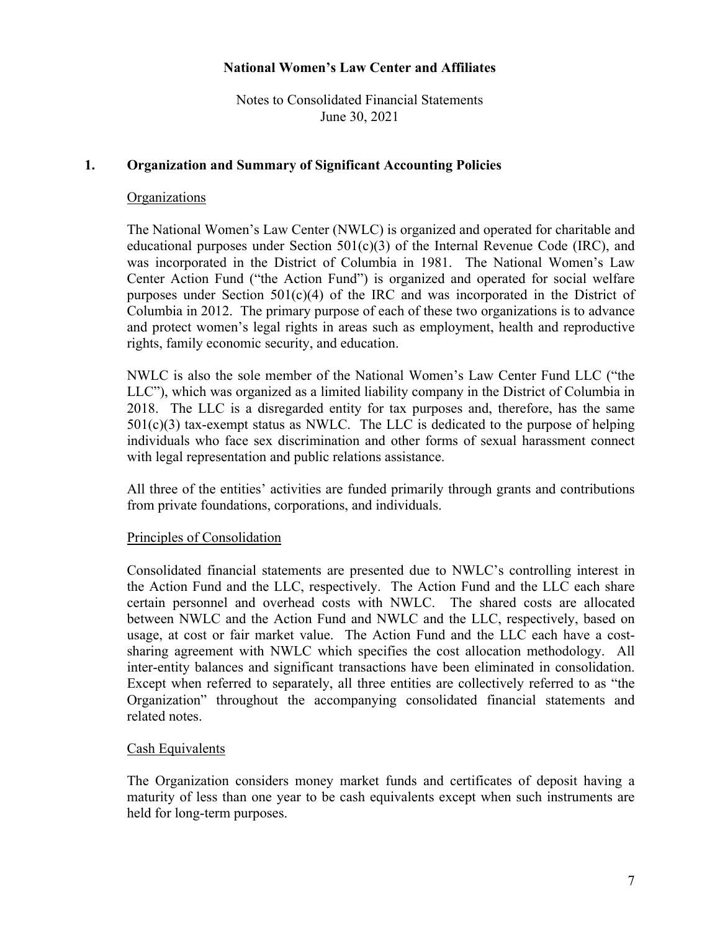Notes to Consolidated Financial Statements June 30, 2021

# **1. Organization and Summary of Significant Accounting Policies**

#### Organizations

The National Women's Law Center (NWLC) is organized and operated for charitable and educational purposes under Section  $501(c)(3)$  of the Internal Revenue Code (IRC), and was incorporated in the District of Columbia in 1981. The National Women's Law Center Action Fund ("the Action Fund") is organized and operated for social welfare purposes under Section  $501(c)(4)$  of the IRC and was incorporated in the District of Columbia in 2012. The primary purpose of each of these two organizations is to advance and protect women's legal rights in areas such as employment, health and reproductive rights, family economic security, and education.

NWLC is also the sole member of the National Women's Law Center Fund LLC ("the LLC"), which was organized as a limited liability company in the District of Columbia in 2018. The LLC is a disregarded entity for tax purposes and, therefore, has the same  $501(c)(3)$  tax-exempt status as NWLC. The LLC is dedicated to the purpose of helping individuals who face sex discrimination and other forms of sexual harassment connect with legal representation and public relations assistance.

All three of the entities' activities are funded primarily through grants and contributions from private foundations, corporations, and individuals.

## Principles of Consolidation

Consolidated financial statements are presented due to NWLC's controlling interest in the Action Fund and the LLC, respectively. The Action Fund and the LLC each share certain personnel and overhead costs with NWLC. The shared costs are allocated between NWLC and the Action Fund and NWLC and the LLC, respectively, based on usage, at cost or fair market value. The Action Fund and the LLC each have a costsharing agreement with NWLC which specifies the cost allocation methodology. All inter-entity balances and significant transactions have been eliminated in consolidation. Except when referred to separately, all three entities are collectively referred to as "the Organization" throughout the accompanying consolidated financial statements and related notes.

## Cash Equivalents

The Organization considers money market funds and certificates of deposit having a maturity of less than one year to be cash equivalents except when such instruments are held for long-term purposes.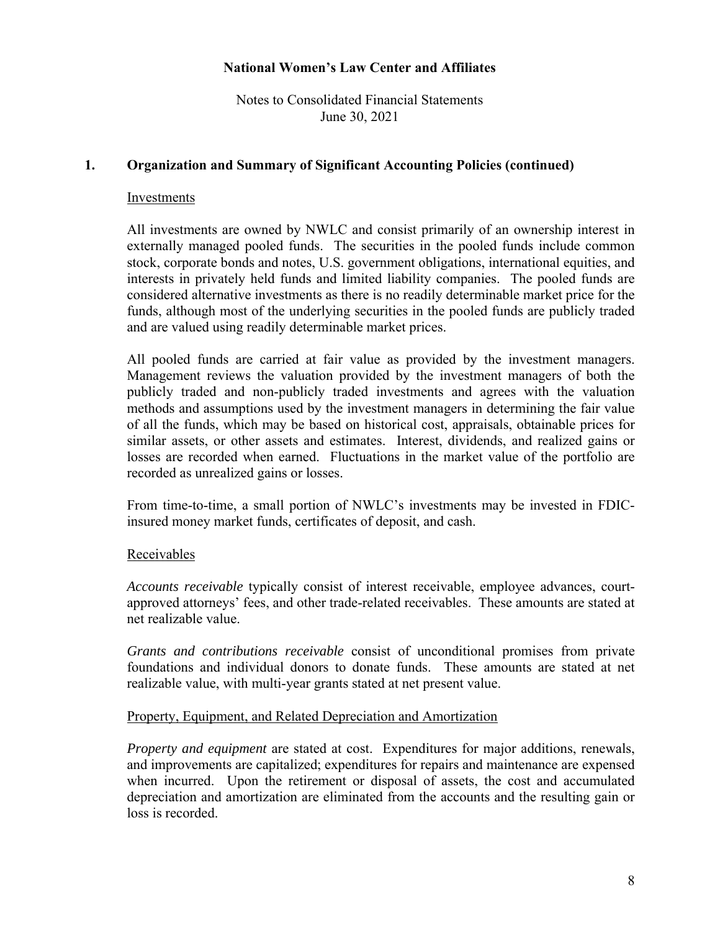Notes to Consolidated Financial Statements June 30, 2021

# **1. Organization and Summary of Significant Accounting Policies (continued)**

#### Investments

All investments are owned by NWLC and consist primarily of an ownership interest in externally managed pooled funds. The securities in the pooled funds include common stock, corporate bonds and notes, U.S. government obligations, international equities, and interests in privately held funds and limited liability companies. The pooled funds are considered alternative investments as there is no readily determinable market price for the funds, although most of the underlying securities in the pooled funds are publicly traded and are valued using readily determinable market prices.

All pooled funds are carried at fair value as provided by the investment managers. Management reviews the valuation provided by the investment managers of both the publicly traded and non-publicly traded investments and agrees with the valuation methods and assumptions used by the investment managers in determining the fair value of all the funds, which may be based on historical cost, appraisals, obtainable prices for similar assets, or other assets and estimates. Interest, dividends, and realized gains or losses are recorded when earned. Fluctuations in the market value of the portfolio are recorded as unrealized gains or losses.

From time-to-time, a small portion of NWLC's investments may be invested in FDICinsured money market funds, certificates of deposit, and cash.

## Receivables

*Accounts receivable* typically consist of interest receivable, employee advances, courtapproved attorneys' fees, and other trade-related receivables. These amounts are stated at net realizable value.

*Grants and contributions receivable* consist of unconditional promises from private foundations and individual donors to donate funds. These amounts are stated at net realizable value, with multi-year grants stated at net present value.

## Property, Equipment, and Related Depreciation and Amortization

*Property and equipment* are stated at cost. Expenditures for major additions, renewals, and improvements are capitalized; expenditures for repairs and maintenance are expensed when incurred. Upon the retirement or disposal of assets, the cost and accumulated depreciation and amortization are eliminated from the accounts and the resulting gain or loss is recorded.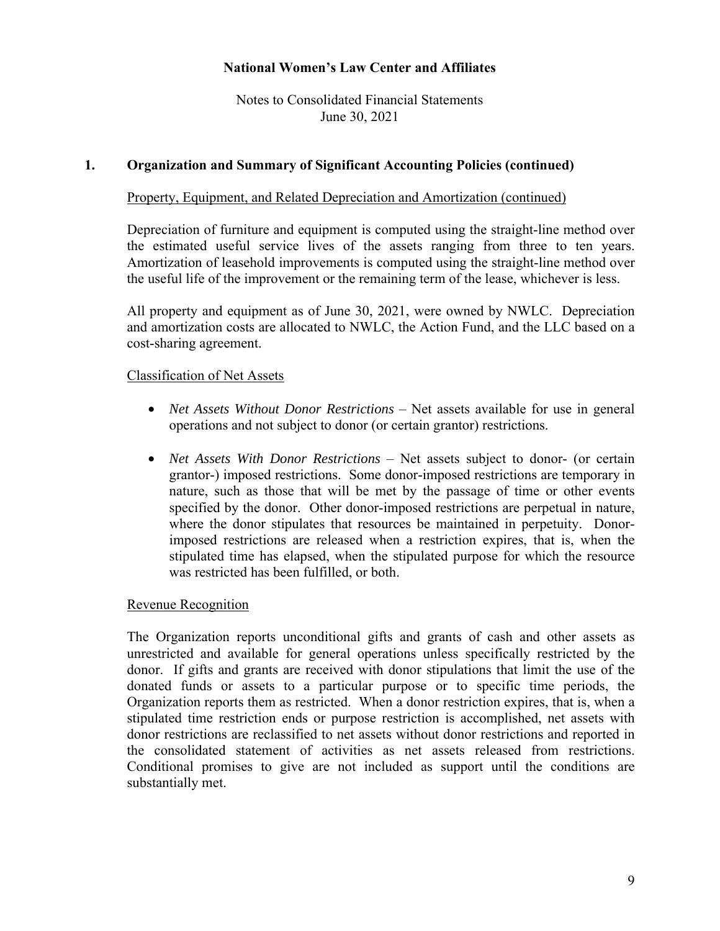Notes to Consolidated Financial Statements June 30, 2021

# **1. Organization and Summary of Significant Accounting Policies (continued)**

## Property, Equipment, and Related Depreciation and Amortization (continued)

Depreciation of furniture and equipment is computed using the straight-line method over the estimated useful service lives of the assets ranging from three to ten years. Amortization of leasehold improvements is computed using the straight-line method over the useful life of the improvement or the remaining term of the lease, whichever is less.

All property and equipment as of June 30, 2021, were owned by NWLC. Depreciation and amortization costs are allocated to NWLC, the Action Fund, and the LLC based on a cost-sharing agreement.

# Classification of Net Assets

- *Net Assets Without Donor Restrictions* Net assets available for use in general operations and not subject to donor (or certain grantor) restrictions.
- *Net Assets With Donor Restrictions*  Net assets subject to donor- (or certain grantor-) imposed restrictions. Some donor-imposed restrictions are temporary in nature, such as those that will be met by the passage of time or other events specified by the donor. Other donor-imposed restrictions are perpetual in nature, where the donor stipulates that resources be maintained in perpetuity. Donorimposed restrictions are released when a restriction expires, that is, when the stipulated time has elapsed, when the stipulated purpose for which the resource was restricted has been fulfilled, or both.

## Revenue Recognition

The Organization reports unconditional gifts and grants of cash and other assets as unrestricted and available for general operations unless specifically restricted by the donor. If gifts and grants are received with donor stipulations that limit the use of the donated funds or assets to a particular purpose or to specific time periods, the Organization reports them as restricted. When a donor restriction expires, that is, when a stipulated time restriction ends or purpose restriction is accomplished, net assets with donor restrictions are reclassified to net assets without donor restrictions and reported in the consolidated statement of activities as net assets released from restrictions. Conditional promises to give are not included as support until the conditions are substantially met.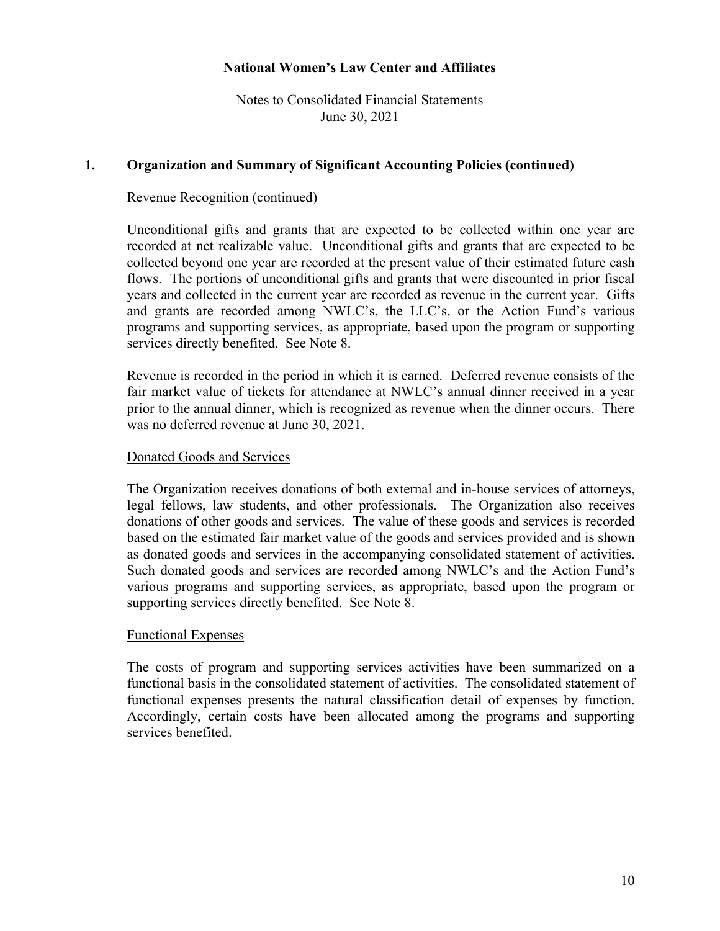Notes to Consolidated Financial Statements June 30, 2021

# **1. Organization and Summary of Significant Accounting Policies (continued)**

## Revenue Recognition (continued)

Unconditional gifts and grants that are expected to be collected within one year are recorded at net realizable value. Unconditional gifts and grants that are expected to be collected beyond one year are recorded at the present value of their estimated future cash flows. The portions of unconditional gifts and grants that were discounted in prior fiscal years and collected in the current year are recorded as revenue in the current year. Gifts and grants are recorded among NWLC's, the LLC's, or the Action Fund's various programs and supporting services, as appropriate, based upon the program or supporting services directly benefited. See Note 8.

Revenue is recorded in the period in which it is earned. Deferred revenue consists of the fair market value of tickets for attendance at NWLC's annual dinner received in a year prior to the annual dinner, which is recognized as revenue when the dinner occurs. There was no deferred revenue at June 30, 2021.

#### Donated Goods and Services

The Organization receives donations of both external and in-house services of attorneys, legal fellows, law students, and other professionals. The Organization also receives donations of other goods and services. The value of these goods and services is recorded based on the estimated fair market value of the goods and services provided and is shown as donated goods and services in the accompanying consolidated statement of activities. Such donated goods and services are recorded among NWLC's and the Action Fund's various programs and supporting services, as appropriate, based upon the program or supporting services directly benefited. See Note 8.

## Functional Expenses

The costs of program and supporting services activities have been summarized on a functional basis in the consolidated statement of activities. The consolidated statement of functional expenses presents the natural classification detail of expenses by function. Accordingly, certain costs have been allocated among the programs and supporting services benefited.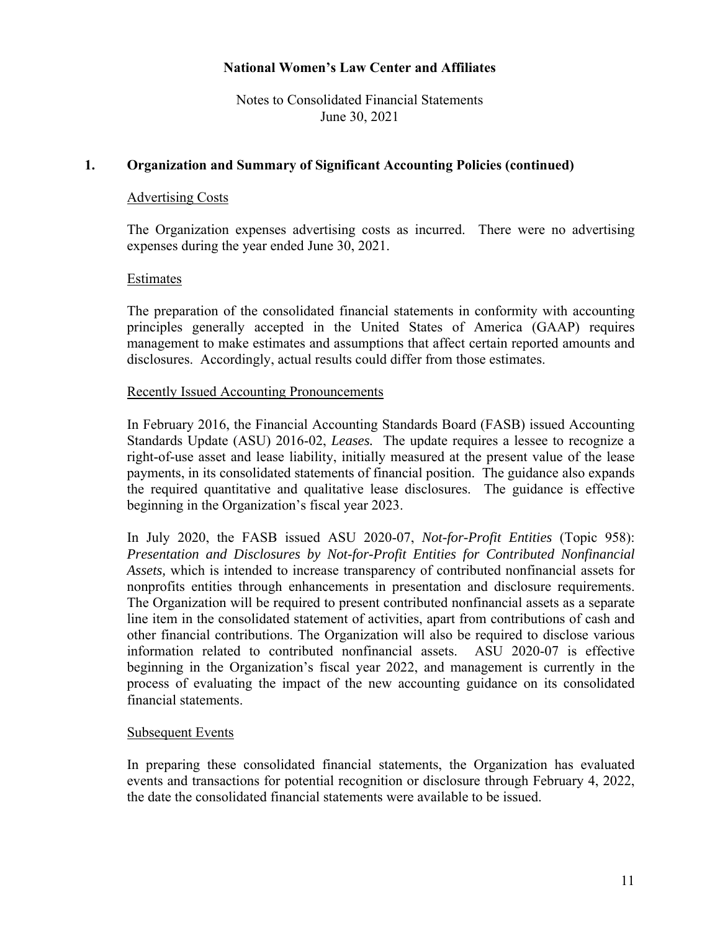Notes to Consolidated Financial Statements June 30, 2021

# **1. Organization and Summary of Significant Accounting Policies (continued)**

#### Advertising Costs

The Organization expenses advertising costs as incurred. There were no advertising expenses during the year ended June 30, 2021.

#### Estimates

The preparation of the consolidated financial statements in conformity with accounting principles generally accepted in the United States of America (GAAP) requires management to make estimates and assumptions that affect certain reported amounts and disclosures. Accordingly, actual results could differ from those estimates.

#### Recently Issued Accounting Pronouncements

In February 2016, the Financial Accounting Standards Board (FASB) issued Accounting Standards Update (ASU) 2016-02, *Leases.* The update requires a lessee to recognize a right-of-use asset and lease liability, initially measured at the present value of the lease payments, in its consolidated statements of financial position. The guidance also expands the required quantitative and qualitative lease disclosures. The guidance is effective beginning in the Organization's fiscal year 2023.

In July 2020, the FASB issued ASU 2020-07, *Not-for-Profit Entities* (Topic 958): *Presentation and Disclosures by Not-for-Profit Entities for Contributed Nonfinancial Assets,* which is intended to increase transparency of contributed nonfinancial assets for nonprofits entities through enhancements in presentation and disclosure requirements. The Organization will be required to present contributed nonfinancial assets as a separate line item in the consolidated statement of activities, apart from contributions of cash and other financial contributions. The Organization will also be required to disclose various information related to contributed nonfinancial assets. ASU 2020-07 is effective beginning in the Organization's fiscal year 2022, and management is currently in the process of evaluating the impact of the new accounting guidance on its consolidated financial statements.

## Subsequent Events

In preparing these consolidated financial statements, the Organization has evaluated events and transactions for potential recognition or disclosure through February 4, 2022, the date the consolidated financial statements were available to be issued.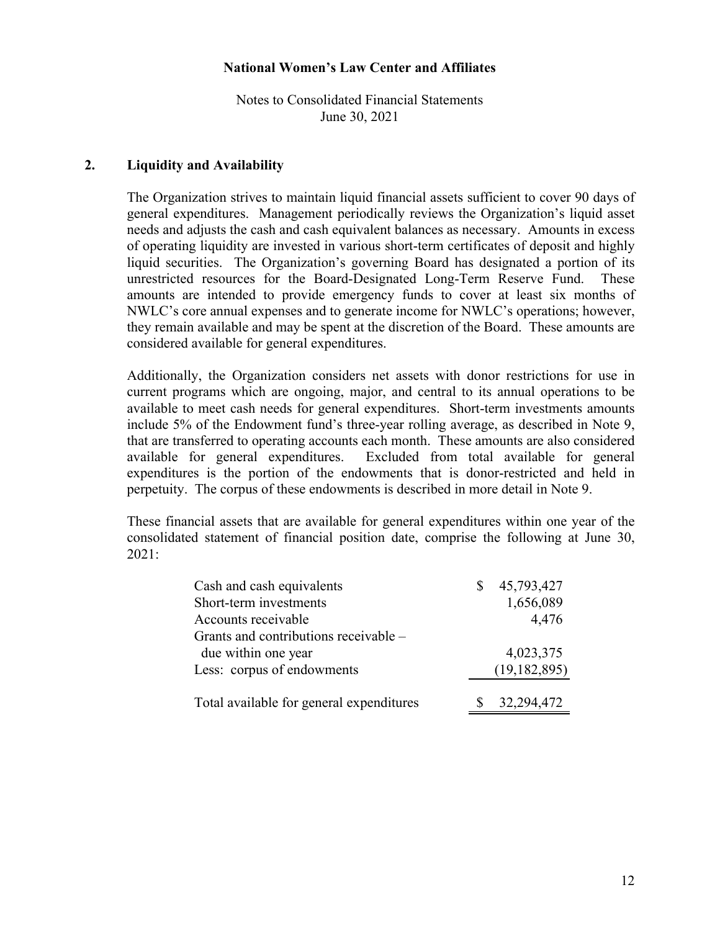Notes to Consolidated Financial Statements June 30, 2021

# **2. Liquidity and Availability**

The Organization strives to maintain liquid financial assets sufficient to cover 90 days of general expenditures. Management periodically reviews the Organization's liquid asset needs and adjusts the cash and cash equivalent balances as necessary. Amounts in excess of operating liquidity are invested in various short-term certificates of deposit and highly liquid securities. The Organization's governing Board has designated a portion of its unrestricted resources for the Board-Designated Long-Term Reserve Fund. These amounts are intended to provide emergency funds to cover at least six months of NWLC's core annual expenses and to generate income for NWLC's operations; however, they remain available and may be spent at the discretion of the Board. These amounts are considered available for general expenditures.

Additionally, the Organization considers net assets with donor restrictions for use in current programs which are ongoing, major, and central to its annual operations to be available to meet cash needs for general expenditures. Short-term investments amounts include 5% of the Endowment fund's three-year rolling average, as described in Note 9, that are transferred to operating accounts each month. These amounts are also considered available for general expenditures. Excluded from total available for general expenditures is the portion of the endowments that is donor-restricted and held in perpetuity. The corpus of these endowments is described in more detail in Note 9.

These financial assets that are available for general expenditures within one year of the consolidated statement of financial position date, comprise the following at June 30, 2021:

| Cash and cash equivalents                | 45,793,427     |
|------------------------------------------|----------------|
| Short-term investments                   | 1,656,089      |
| Accounts receivable                      | 4,476          |
| Grants and contributions receivable –    |                |
| due within one year                      | 4,023,375      |
| Less: corpus of endowments               | (19, 182, 895) |
|                                          |                |
| Total available for general expenditures | 32,294,472     |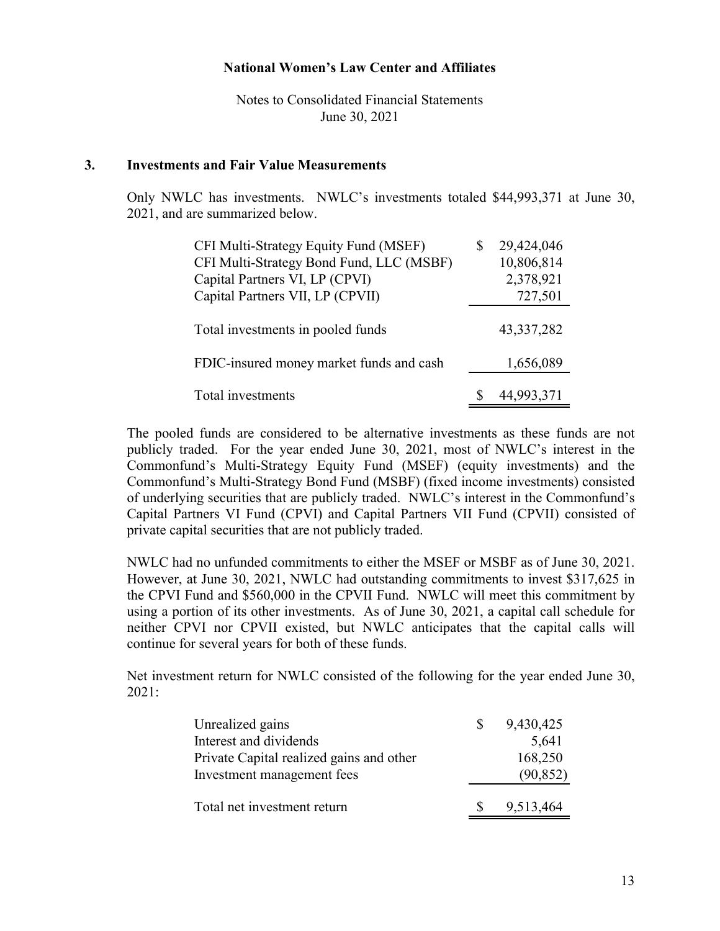Notes to Consolidated Financial Statements June 30, 2021

#### **3. Investments and Fair Value Measurements**

Only NWLC has investments. NWLC's investments totaled \$44,993,371 at June 30, 2021, and are summarized below.

| CFI Multi-Strategy Equity Fund (MSEF)    | \$<br>29,424,046 |
|------------------------------------------|------------------|
| CFI Multi-Strategy Bond Fund, LLC (MSBF) | 10,806,814       |
| Capital Partners VI, LP (CPVI)           | 2,378,921        |
| Capital Partners VII, LP (CPVII)         | 727,501          |
|                                          |                  |
| Total investments in pooled funds        | 43, 337, 282     |
|                                          |                  |
| FDIC-insured money market funds and cash | 1,656,089        |
|                                          |                  |
| Total investments                        | 44,993,371       |

The pooled funds are considered to be alternative investments as these funds are not publicly traded. For the year ended June 30, 2021, most of NWLC's interest in the Commonfund's Multi-Strategy Equity Fund (MSEF) (equity investments) and the Commonfund's Multi-Strategy Bond Fund (MSBF) (fixed income investments) consisted of underlying securities that are publicly traded. NWLC's interest in the Commonfund's Capital Partners VI Fund (CPVI) and Capital Partners VII Fund (CPVII) consisted of private capital securities that are not publicly traded.

NWLC had no unfunded commitments to either the MSEF or MSBF as of June 30, 2021. However, at June 30, 2021, NWLC had outstanding commitments to invest \$317,625 in the CPVI Fund and \$560,000 in the CPVII Fund. NWLC will meet this commitment by using a portion of its other investments. As of June 30, 2021, a capital call schedule for neither CPVI nor CPVII existed, but NWLC anticipates that the capital calls will continue for several years for both of these funds.

Net investment return for NWLC consisted of the following for the year ended June 30, 2021:

| Unrealized gains                         | 9,430,425 |
|------------------------------------------|-----------|
| Interest and dividends                   | 5,641     |
| Private Capital realized gains and other | 168,250   |
| Investment management fees               | (90, 852) |
| Total net investment return              | 9,513,464 |
|                                          |           |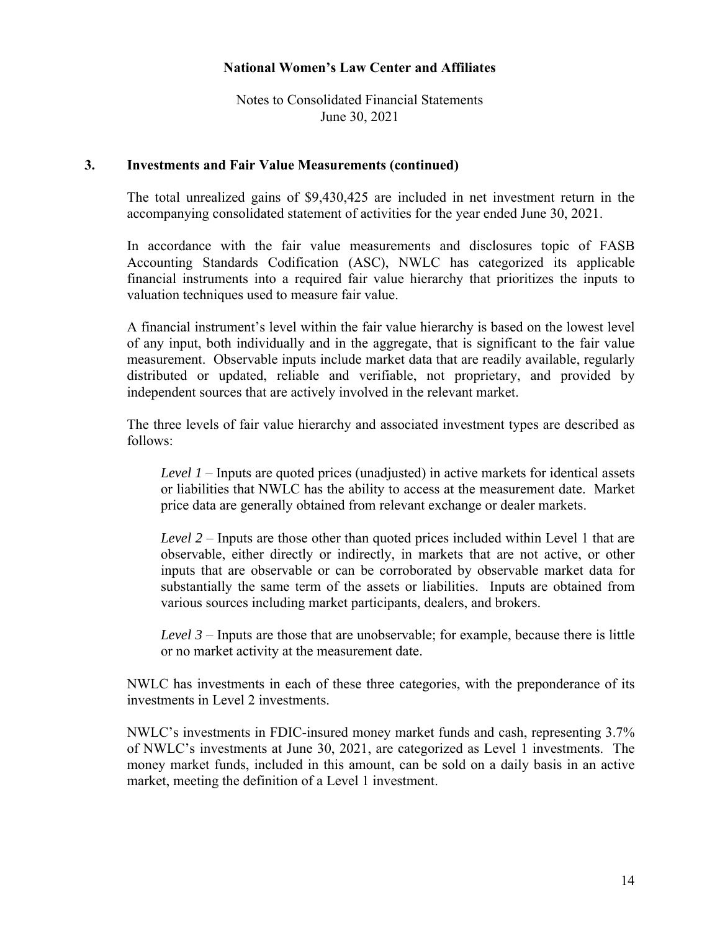Notes to Consolidated Financial Statements June 30, 2021

#### **3. Investments and Fair Value Measurements (continued)**

The total unrealized gains of \$9,430,425 are included in net investment return in the accompanying consolidated statement of activities for the year ended June 30, 2021.

In accordance with the fair value measurements and disclosures topic of FASB Accounting Standards Codification (ASC), NWLC has categorized its applicable financial instruments into a required fair value hierarchy that prioritizes the inputs to valuation techniques used to measure fair value.

A financial instrument's level within the fair value hierarchy is based on the lowest level of any input, both individually and in the aggregate, that is significant to the fair value measurement. Observable inputs include market data that are readily available, regularly distributed or updated, reliable and verifiable, not proprietary, and provided by independent sources that are actively involved in the relevant market.

The three levels of fair value hierarchy and associated investment types are described as follows:

*Level 1* – Inputs are quoted prices (unadjusted) in active markets for identical assets or liabilities that NWLC has the ability to access at the measurement date. Market price data are generally obtained from relevant exchange or dealer markets.

*Level 2* – Inputs are those other than quoted prices included within Level 1 that are observable, either directly or indirectly, in markets that are not active, or other inputs that are observable or can be corroborated by observable market data for substantially the same term of the assets or liabilities. Inputs are obtained from various sources including market participants, dealers, and brokers.

*Level 3* – Inputs are those that are unobservable; for example, because there is little or no market activity at the measurement date.

NWLC has investments in each of these three categories, with the preponderance of its investments in Level 2 investments.

NWLC's investments in FDIC-insured money market funds and cash, representing 3.7% of NWLC's investments at June 30, 2021, are categorized as Level 1 investments. The money market funds, included in this amount, can be sold on a daily basis in an active market, meeting the definition of a Level 1 investment.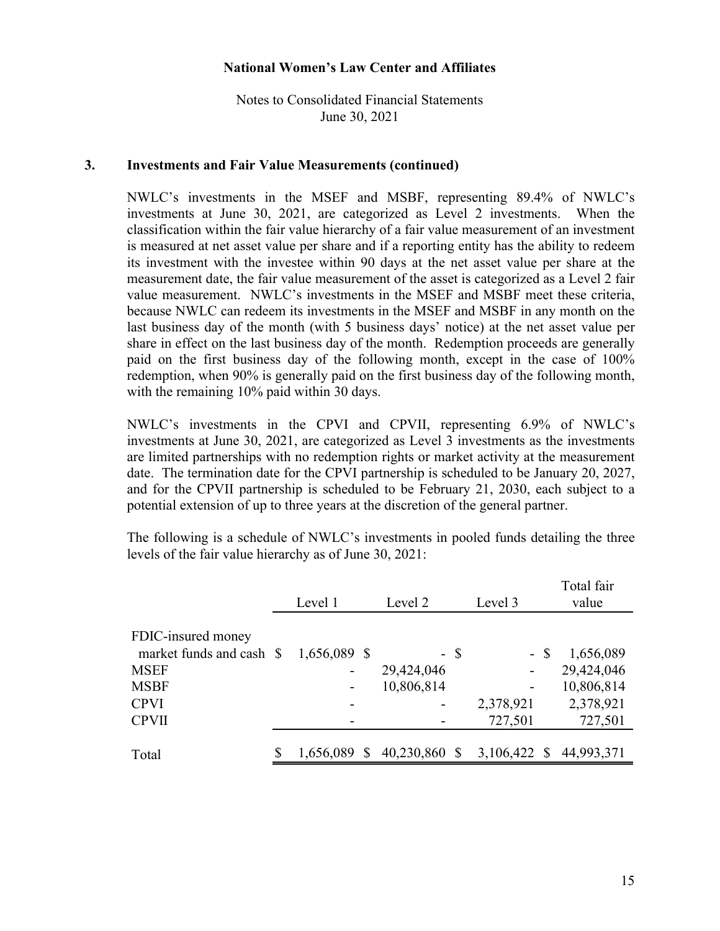Notes to Consolidated Financial Statements June 30, 2021

#### **3. Investments and Fair Value Measurements (continued)**

NWLC's investments in the MSEF and MSBF, representing 89.4% of NWLC's investments at June 30, 2021, are categorized as Level 2 investments. When the classification within the fair value hierarchy of a fair value measurement of an investment is measured at net asset value per share and if a reporting entity has the ability to redeem its investment with the investee within 90 days at the net asset value per share at the measurement date, the fair value measurement of the asset is categorized as a Level 2 fair value measurement. NWLC's investments in the MSEF and MSBF meet these criteria, because NWLC can redeem its investments in the MSEF and MSBF in any month on the last business day of the month (with 5 business days' notice) at the net asset value per share in effect on the last business day of the month. Redemption proceeds are generally paid on the first business day of the following month, except in the case of 100% redemption, when 90% is generally paid on the first business day of the following month, with the remaining 10% paid within 30 days.

NWLC's investments in the CPVI and CPVII, representing 6.9% of NWLC's investments at June 30, 2021, are categorized as Level 3 investments as the investments are limited partnerships with no redemption rights or market activity at the measurement date. The termination date for the CPVI partnership is scheduled to be January 20, 2027, and for the CPVII partnership is scheduled to be February 21, 2030, each subject to a potential extension of up to three years at the discretion of the general partner.

The following is a schedule of NWLC's investments in pooled funds detailing the three levels of the fair value hierarchy as of June 30, 2021:

|                          |              |              |               |      |              | Total fair |
|--------------------------|--------------|--------------|---------------|------|--------------|------------|
|                          | Level 1      |              | Level 2       |      | Level 3      | value      |
|                          |              |              |               |      |              |            |
| FDIC-insured money       |              |              |               |      |              |            |
| market funds and cash \$ | 1,656,089 \$ |              |               | - \$ | - \$         | 1,656,089  |
| <b>MSEF</b>              |              |              | 29,424,046    |      |              | 29,424,046 |
| <b>MSBF</b>              |              |              | 10,806,814    |      |              | 10,806,814 |
| <b>CPVI</b>              |              |              |               |      | 2,378,921    | 2,378,921  |
| <b>CPVII</b>             |              |              |               |      | 727,501      | 727,501    |
|                          |              |              |               |      |              |            |
| Total                    | 1,656,089    | <sup>S</sup> | 40,230,860 \$ |      | 3,106,422 \$ | 44,993,371 |
|                          |              |              |               |      |              |            |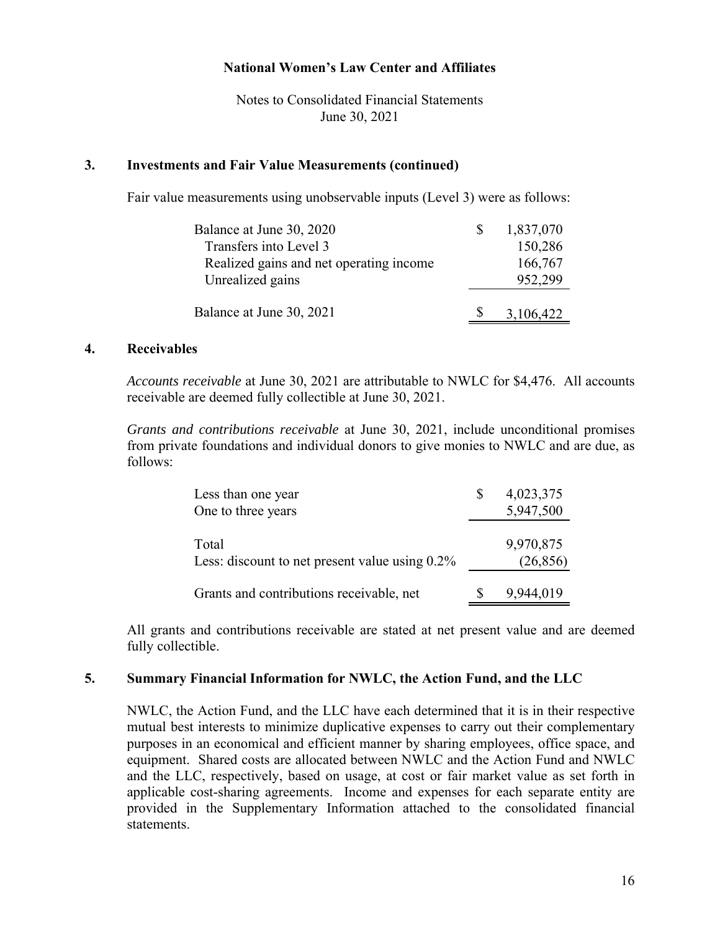Notes to Consolidated Financial Statements June 30, 2021

#### **3. Investments and Fair Value Measurements (continued)**

Fair value measurements using unobservable inputs (Level 3) were as follows:

| Balance at June 30, 2020                | 1,837,070 |
|-----------------------------------------|-----------|
| Transfers into Level 3                  | 150,286   |
| Realized gains and net operating income | 166,767   |
| Unrealized gains                        | 952,299   |
|                                         |           |
| Balance at June 30, 2021                | 3,106,422 |

#### **4. Receivables**

*Accounts receivable* at June 30, 2021 are attributable to NWLC for \$4,476. All accounts receivable are deemed fully collectible at June 30, 2021.

*Grants and contributions receivable* at June 30, 2021, include unconditional promises from private foundations and individual donors to give monies to NWLC and are due, as follows:

| Less than one year                                | 4,023,375 |
|---------------------------------------------------|-----------|
| One to three years                                | 5,947,500 |
| Total                                             | 9,970,875 |
| Less: discount to net present value using $0.2\%$ | (26, 856) |
| Grants and contributions receivable, net          | 9,944,019 |

All grants and contributions receivable are stated at net present value and are deemed fully collectible.

## **5. Summary Financial Information for NWLC, the Action Fund, and the LLC**

NWLC, the Action Fund, and the LLC have each determined that it is in their respective mutual best interests to minimize duplicative expenses to carry out their complementary purposes in an economical and efficient manner by sharing employees, office space, and equipment. Shared costs are allocated between NWLC and the Action Fund and NWLC and the LLC, respectively, based on usage, at cost or fair market value as set forth in applicable cost-sharing agreements. Income and expenses for each separate entity are provided in the Supplementary Information attached to the consolidated financial statements.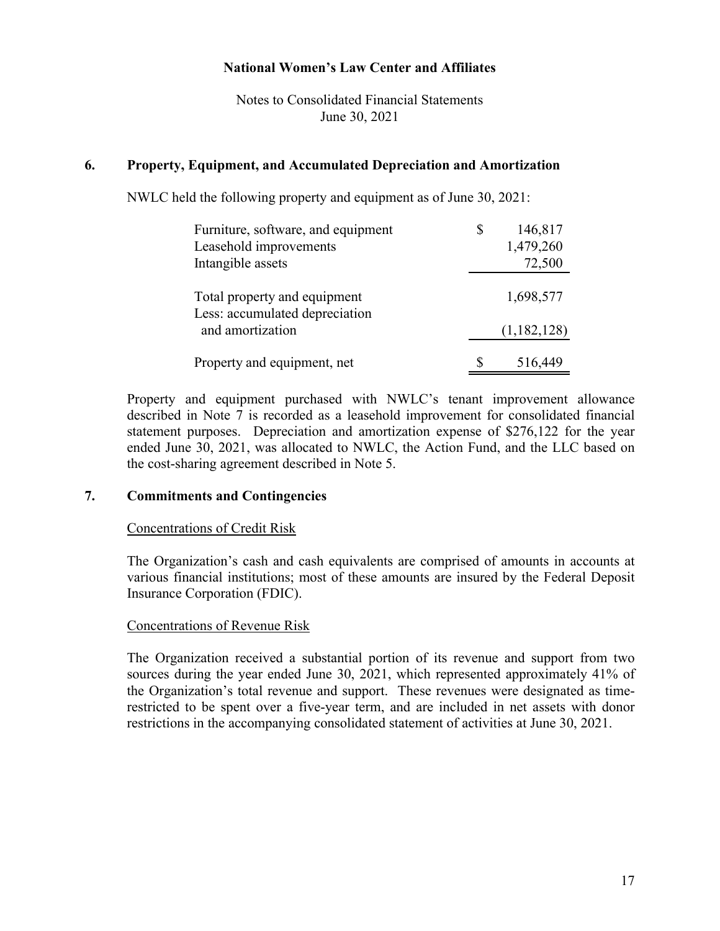Notes to Consolidated Financial Statements June 30, 2021

# **6. Property, Equipment, and Accumulated Depreciation and Amortization**

NWLC held the following property and equipment as of June 30, 2021:

| Furniture, software, and equipment                             | 146,817     |
|----------------------------------------------------------------|-------------|
| Leasehold improvements                                         | 1,479,260   |
| Intangible assets                                              | 72,500      |
| Total property and equipment<br>Less: accumulated depreciation | 1,698,577   |
| and amortization                                               | (1,182,128) |
| Property and equipment, net                                    | 516,449     |

Property and equipment purchased with NWLC's tenant improvement allowance described in Note 7 is recorded as a leasehold improvement for consolidated financial statement purposes. Depreciation and amortization expense of \$276,122 for the year ended June 30, 2021, was allocated to NWLC, the Action Fund, and the LLC based on the cost-sharing agreement described in Note 5.

## **7. Commitments and Contingencies**

## Concentrations of Credit Risk

The Organization's cash and cash equivalents are comprised of amounts in accounts at various financial institutions; most of these amounts are insured by the Federal Deposit Insurance Corporation (FDIC).

## Concentrations of Revenue Risk

The Organization received a substantial portion of its revenue and support from two sources during the year ended June 30, 2021, which represented approximately 41% of the Organization's total revenue and support. These revenues were designated as timerestricted to be spent over a five-year term, and are included in net assets with donor restrictions in the accompanying consolidated statement of activities at June 30, 2021.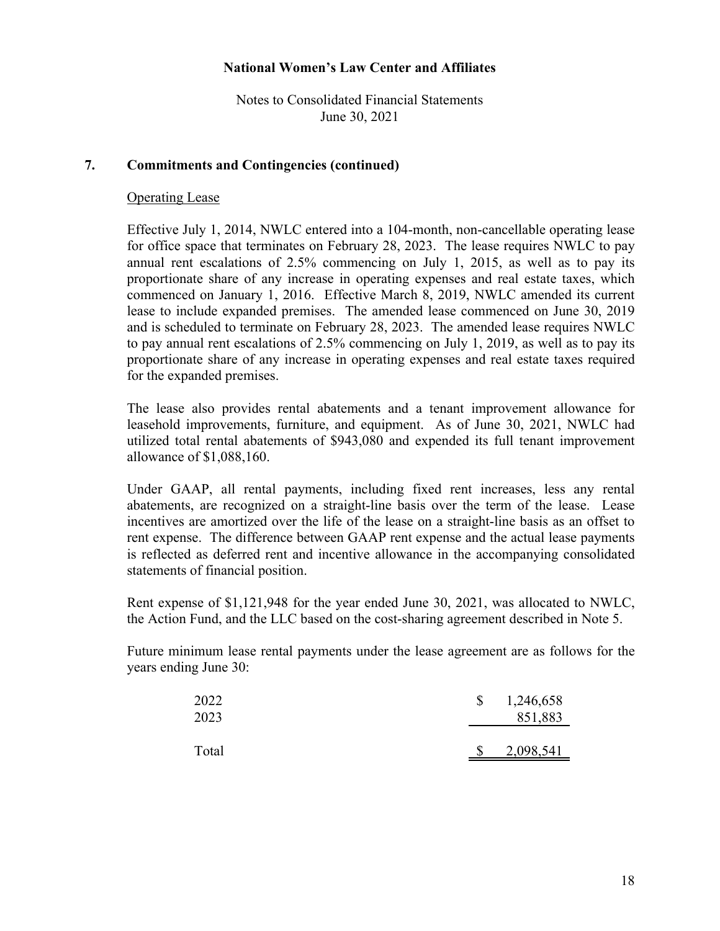Notes to Consolidated Financial Statements June 30, 2021

# **7. Commitments and Contingencies (continued)**

#### Operating Lease

Effective July 1, 2014, NWLC entered into a 104-month, non-cancellable operating lease for office space that terminates on February 28, 2023. The lease requires NWLC to pay annual rent escalations of 2.5% commencing on July 1, 2015, as well as to pay its proportionate share of any increase in operating expenses and real estate taxes, which commenced on January 1, 2016. Effective March 8, 2019, NWLC amended its current lease to include expanded premises. The amended lease commenced on June 30, 2019 and is scheduled to terminate on February 28, 2023. The amended lease requires NWLC to pay annual rent escalations of 2.5% commencing on July 1, 2019, as well as to pay its proportionate share of any increase in operating expenses and real estate taxes required for the expanded premises.

The lease also provides rental abatements and a tenant improvement allowance for leasehold improvements, furniture, and equipment. As of June 30, 2021, NWLC had utilized total rental abatements of \$943,080 and expended its full tenant improvement allowance of \$1,088,160.

Under GAAP, all rental payments, including fixed rent increases, less any rental abatements, are recognized on a straight-line basis over the term of the lease. Lease incentives are amortized over the life of the lease on a straight-line basis as an offset to rent expense. The difference between GAAP rent expense and the actual lease payments is reflected as deferred rent and incentive allowance in the accompanying consolidated statements of financial position.

Rent expense of \$1,121,948 for the year ended June 30, 2021, was allocated to NWLC, the Action Fund, and the LLC based on the cost-sharing agreement described in Note 5.

Future minimum lease rental payments under the lease agreement are as follows for the years ending June 30:

| 2022  | <sup>S</sup> | 1,246,658 |
|-------|--------------|-----------|
| 2023  |              | 851,883   |
|       |              |           |
| Total |              | 2,098,541 |
|       |              |           |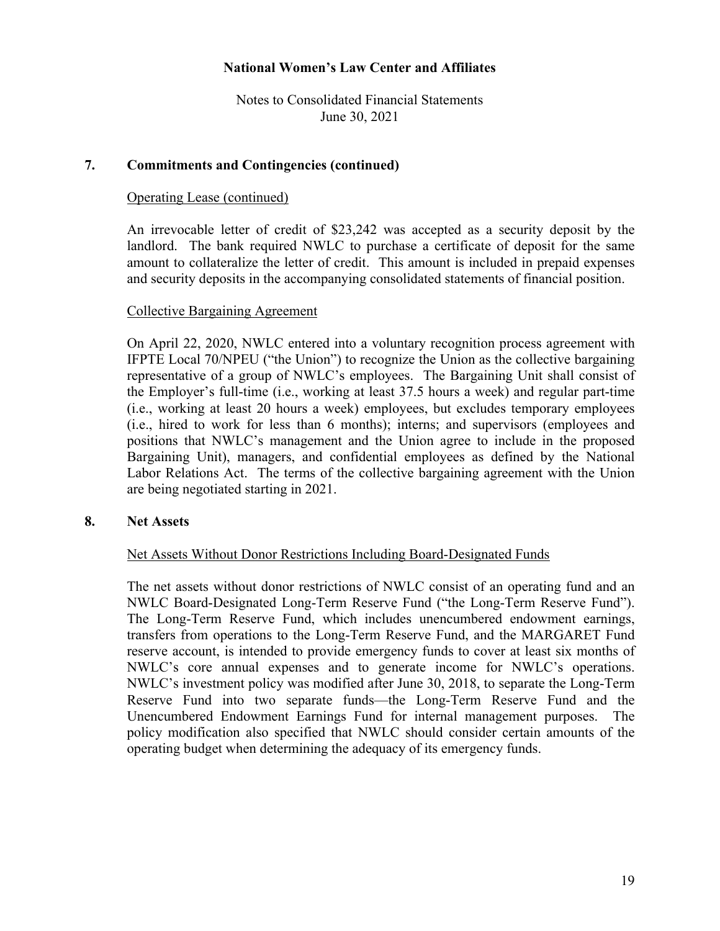Notes to Consolidated Financial Statements June 30, 2021

# **7. Commitments and Contingencies (continued)**

## Operating Lease (continued)

An irrevocable letter of credit of \$23,242 was accepted as a security deposit by the landlord. The bank required NWLC to purchase a certificate of deposit for the same amount to collateralize the letter of credit. This amount is included in prepaid expenses and security deposits in the accompanying consolidated statements of financial position.

#### Collective Bargaining Agreement

On April 22, 2020, NWLC entered into a voluntary recognition process agreement with IFPTE Local 70/NPEU ("the Union") to recognize the Union as the collective bargaining representative of a group of NWLC's employees. The Bargaining Unit shall consist of the Employer's full-time (i.e., working at least 37.5 hours a week) and regular part-time (i.e., working at least 20 hours a week) employees, but excludes temporary employees (i.e., hired to work for less than 6 months); interns; and supervisors (employees and positions that NWLC's management and the Union agree to include in the proposed Bargaining Unit), managers, and confidential employees as defined by the National Labor Relations Act. The terms of the collective bargaining agreement with the Union are being negotiated starting in 2021.

## **8. Net Assets**

## Net Assets Without Donor Restrictions Including Board-Designated Funds

The net assets without donor restrictions of NWLC consist of an operating fund and an NWLC Board-Designated Long-Term Reserve Fund ("the Long-Term Reserve Fund"). The Long-Term Reserve Fund, which includes unencumbered endowment earnings, transfers from operations to the Long-Term Reserve Fund, and the MARGARET Fund reserve account, is intended to provide emergency funds to cover at least six months of NWLC's core annual expenses and to generate income for NWLC's operations. NWLC's investment policy was modified after June 30, 2018, to separate the Long-Term Reserve Fund into two separate funds—the Long-Term Reserve Fund and the Unencumbered Endowment Earnings Fund for internal management purposes. The policy modification also specified that NWLC should consider certain amounts of the operating budget when determining the adequacy of its emergency funds.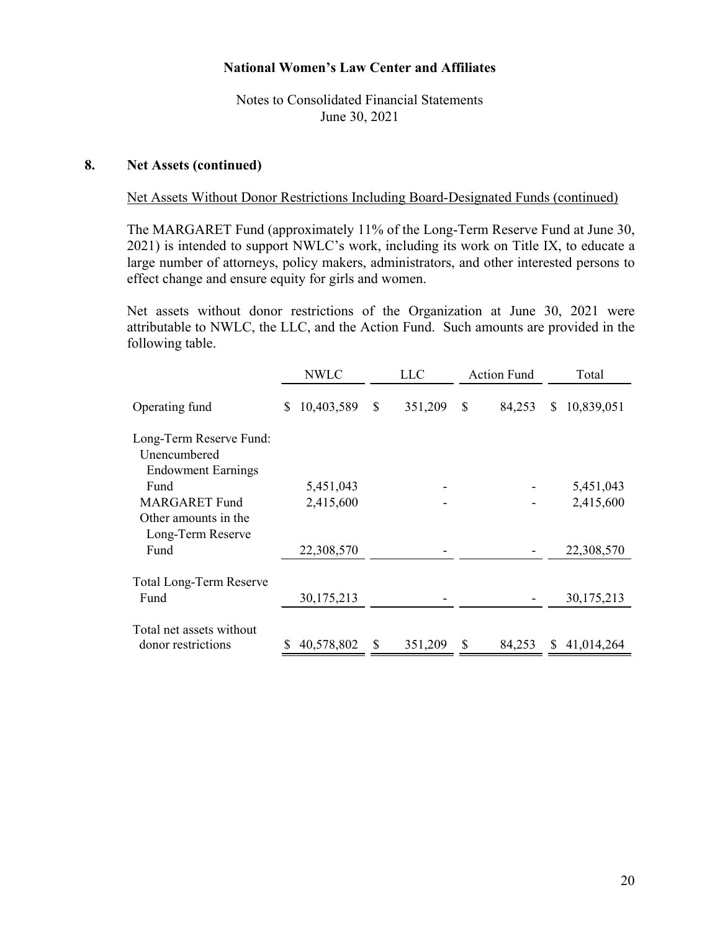Notes to Consolidated Financial Statements June 30, 2021

#### **8. Net Assets (continued)**

#### Net Assets Without Donor Restrictions Including Board-Designated Funds (continued)

The MARGARET Fund (approximately 11% of the Long-Term Reserve Fund at June 30, 2021) is intended to support NWLC's work, including its work on Title IX, to educate a large number of attorneys, policy makers, administrators, and other interested persons to effect change and ensure equity for girls and women.

Net assets without donor restrictions of the Organization at June 30, 2021 were attributable to NWLC, the LLC, and the Action Fund. Such amounts are provided in the following table.

|                                                |    | <b>NWLC</b> | <b>LLC</b> |         |               | <b>Action Fund</b> |    | Total      |  |
|------------------------------------------------|----|-------------|------------|---------|---------------|--------------------|----|------------|--|
| Operating fund                                 | \$ | 10,403,589  | \$         | 351,209 | $\mathcal{S}$ | 84,253             | \$ | 10,839,051 |  |
| Long-Term Reserve Fund:                        |    |             |            |         |               |                    |    |            |  |
| Unencumbered                                   |    |             |            |         |               |                    |    |            |  |
| <b>Endowment Earnings</b>                      |    |             |            |         |               |                    |    |            |  |
| Fund                                           |    | 5,451,043   |            |         |               |                    |    | 5,451,043  |  |
| <b>MARGARET</b> Fund                           |    | 2,415,600   |            |         |               |                    |    | 2,415,600  |  |
| Other amounts in the                           |    |             |            |         |               |                    |    |            |  |
| Long-Term Reserve                              |    |             |            |         |               |                    |    |            |  |
| Fund                                           |    | 22,308,570  |            |         |               |                    |    | 22,308,570 |  |
| <b>Total Long-Term Reserve</b>                 |    |             |            |         |               |                    |    |            |  |
| Fund                                           |    | 30,175,213  |            |         |               |                    |    | 30,175,213 |  |
| Total net assets without<br>donor restrictions | S  | 40,578,802  | S          | 351,209 | \$            | 84,253             | S. | 41,014,264 |  |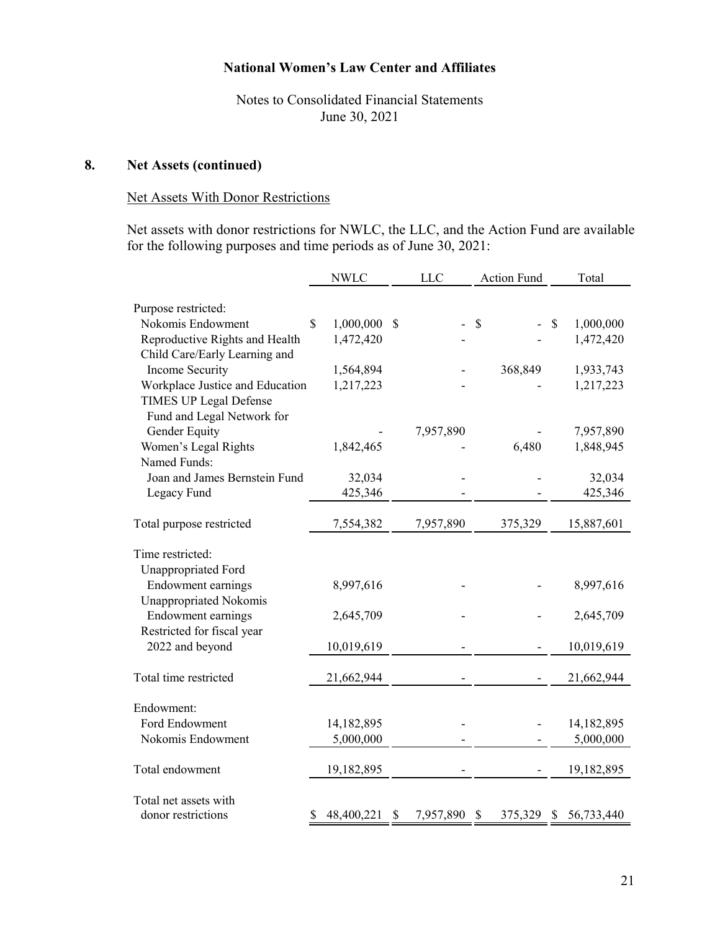Notes to Consolidated Financial Statements June 30, 2021

# **8. Net Assets (continued)**

# Net Assets With Donor Restrictions

Net assets with donor restrictions for NWLC, the LLC, and the Action Fund are available for the following purposes and time periods as of June 30, 2021:

|                                             | <b>NWLC</b>              | <b>LLC</b>      | <b>Action Fund</b> | Total                     |
|---------------------------------------------|--------------------------|-----------------|--------------------|---------------------------|
|                                             |                          |                 |                    |                           |
| Purpose restricted:                         |                          |                 |                    |                           |
| Nokomis Endowment                           | $\mathbf S$<br>1,000,000 | $\mathcal{S}$   | $\mathbf S$        | $\mathbb{S}$<br>1,000,000 |
| Reproductive Rights and Health              | 1,472,420                |                 |                    | 1,472,420                 |
| Child Care/Early Learning and               |                          |                 |                    |                           |
| <b>Income Security</b>                      | 1,564,894                |                 | 368,849            | 1,933,743                 |
| Workplace Justice and Education             | 1,217,223                |                 |                    | 1,217,223                 |
| <b>TIMES UP Legal Defense</b>               |                          |                 |                    |                           |
| Fund and Legal Network for                  |                          |                 |                    |                           |
| Gender Equity                               |                          | 7,957,890       |                    | 7,957,890                 |
| Women's Legal Rights                        | 1,842,465                |                 | 6,480              | 1,848,945                 |
| Named Funds:                                |                          |                 |                    |                           |
| Joan and James Bernstein Fund               | 32,034                   |                 |                    | 32,034                    |
| Legacy Fund                                 | 425,346                  |                 |                    | 425,346                   |
|                                             |                          |                 |                    |                           |
| Total purpose restricted                    | 7,554,382                | 7,957,890       | 375,329            | 15,887,601                |
|                                             |                          |                 |                    |                           |
| Time restricted:                            |                          |                 |                    |                           |
| Unappropriated Ford                         |                          |                 |                    |                           |
| Endowment earnings                          | 8,997,616                |                 |                    | 8,997,616                 |
| <b>Unappropriated Nokomis</b>               |                          |                 |                    |                           |
| Endowment earnings                          | 2,645,709                |                 |                    | 2,645,709                 |
| Restricted for fiscal year                  |                          |                 |                    |                           |
| 2022 and beyond                             | 10,019,619               |                 |                    | 10,019,619                |
|                                             |                          |                 |                    |                           |
| Total time restricted                       | 21,662,944               |                 |                    | 21,662,944                |
| Endowment:                                  |                          |                 |                    |                           |
| Ford Endowment                              | 14,182,895               |                 |                    | 14,182,895                |
| Nokomis Endowment                           | 5,000,000                |                 |                    | 5,000,000                 |
|                                             |                          |                 |                    |                           |
| Total endowment                             | 19,182,895               |                 |                    | 19,182,895                |
|                                             |                          |                 |                    |                           |
| Total net assets with<br>donor restrictions | 48,400,221<br>\$         | \$<br>7,957,890 | \$<br>375,329      | \$56,733,440              |
|                                             |                          |                 |                    |                           |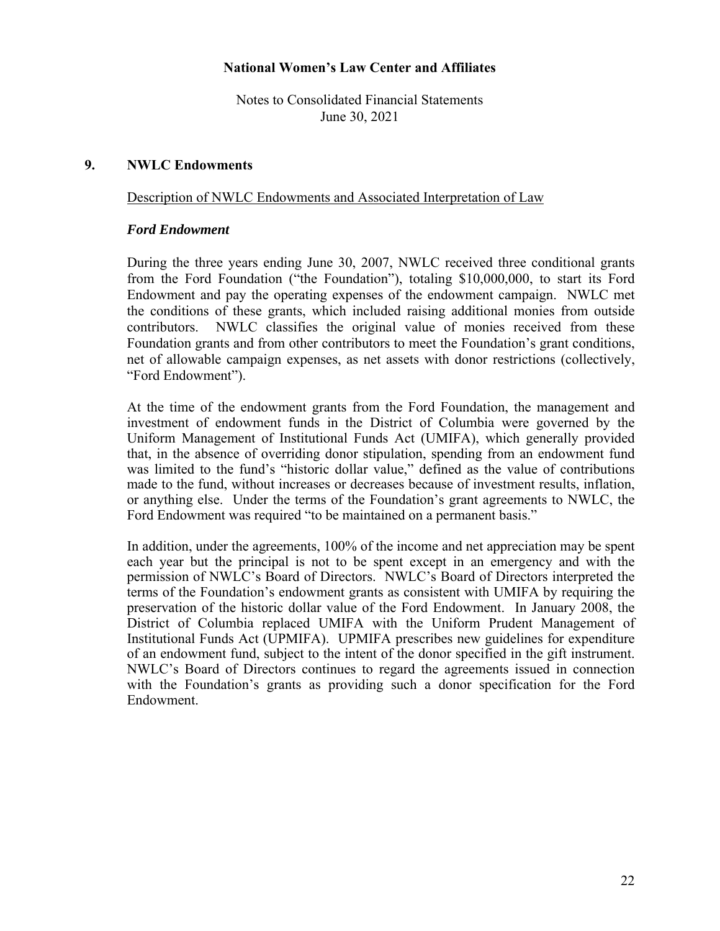Notes to Consolidated Financial Statements June 30, 2021

#### **9. NWLC Endowments**

#### Description of NWLC Endowments and Associated Interpretation of Law

#### *Ford Endowment*

During the three years ending June 30, 2007, NWLC received three conditional grants from the Ford Foundation ("the Foundation"), totaling \$10,000,000, to start its Ford Endowment and pay the operating expenses of the endowment campaign. NWLC met the conditions of these grants, which included raising additional monies from outside contributors. NWLC classifies the original value of monies received from these Foundation grants and from other contributors to meet the Foundation's grant conditions, net of allowable campaign expenses, as net assets with donor restrictions (collectively, "Ford Endowment").

At the time of the endowment grants from the Ford Foundation, the management and investment of endowment funds in the District of Columbia were governed by the Uniform Management of Institutional Funds Act (UMIFA), which generally provided that, in the absence of overriding donor stipulation, spending from an endowment fund was limited to the fund's "historic dollar value," defined as the value of contributions made to the fund, without increases or decreases because of investment results, inflation, or anything else. Under the terms of the Foundation's grant agreements to NWLC, the Ford Endowment was required "to be maintained on a permanent basis."

In addition, under the agreements, 100% of the income and net appreciation may be spent each year but the principal is not to be spent except in an emergency and with the permission of NWLC's Board of Directors. NWLC's Board of Directors interpreted the terms of the Foundation's endowment grants as consistent with UMIFA by requiring the preservation of the historic dollar value of the Ford Endowment. In January 2008, the District of Columbia replaced UMIFA with the Uniform Prudent Management of Institutional Funds Act (UPMIFA). UPMIFA prescribes new guidelines for expenditure of an endowment fund, subject to the intent of the donor specified in the gift instrument. NWLC's Board of Directors continues to regard the agreements issued in connection with the Foundation's grants as providing such a donor specification for the Ford Endowment.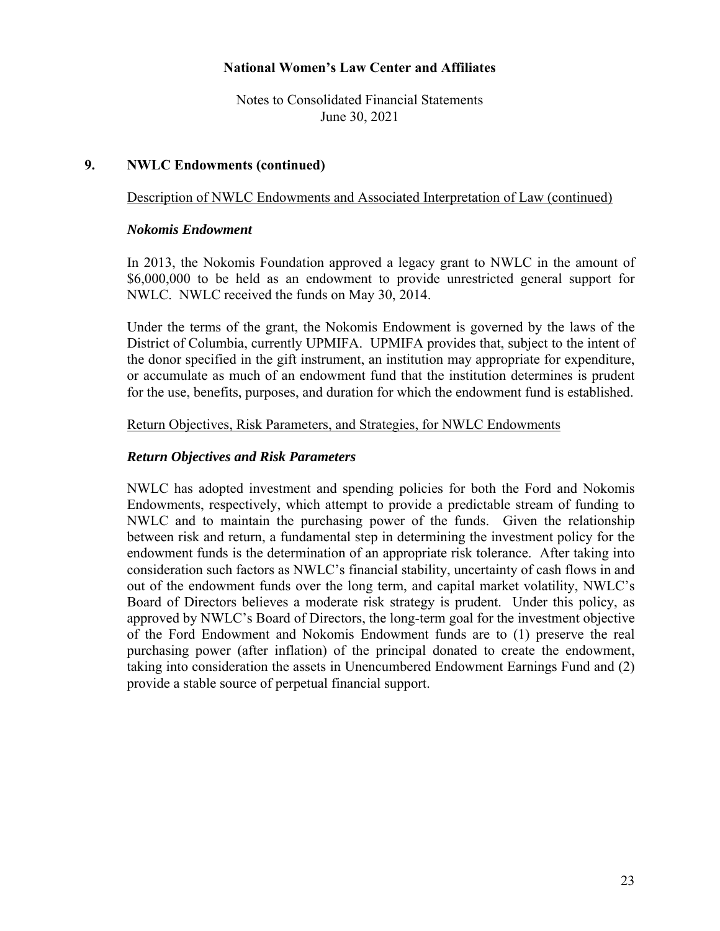Notes to Consolidated Financial Statements June 30, 2021

## **9. NWLC Endowments (continued)**

# Description of NWLC Endowments and Associated Interpretation of Law (continued)

#### *Nokomis Endowment*

In 2013, the Nokomis Foundation approved a legacy grant to NWLC in the amount of \$6,000,000 to be held as an endowment to provide unrestricted general support for NWLC. NWLC received the funds on May 30, 2014.

Under the terms of the grant, the Nokomis Endowment is governed by the laws of the District of Columbia, currently UPMIFA. UPMIFA provides that, subject to the intent of the donor specified in the gift instrument, an institution may appropriate for expenditure, or accumulate as much of an endowment fund that the institution determines is prudent for the use, benefits, purposes, and duration for which the endowment fund is established.

#### Return Objectives, Risk Parameters, and Strategies, for NWLC Endowments

## *Return Objectives and Risk Parameters*

NWLC has adopted investment and spending policies for both the Ford and Nokomis Endowments, respectively, which attempt to provide a predictable stream of funding to NWLC and to maintain the purchasing power of the funds. Given the relationship between risk and return, a fundamental step in determining the investment policy for the endowment funds is the determination of an appropriate risk tolerance. After taking into consideration such factors as NWLC's financial stability, uncertainty of cash flows in and out of the endowment funds over the long term, and capital market volatility, NWLC's Board of Directors believes a moderate risk strategy is prudent. Under this policy, as approved by NWLC's Board of Directors, the long-term goal for the investment objective of the Ford Endowment and Nokomis Endowment funds are to (1) preserve the real purchasing power (after inflation) of the principal donated to create the endowment, taking into consideration the assets in Unencumbered Endowment Earnings Fund and (2) provide a stable source of perpetual financial support.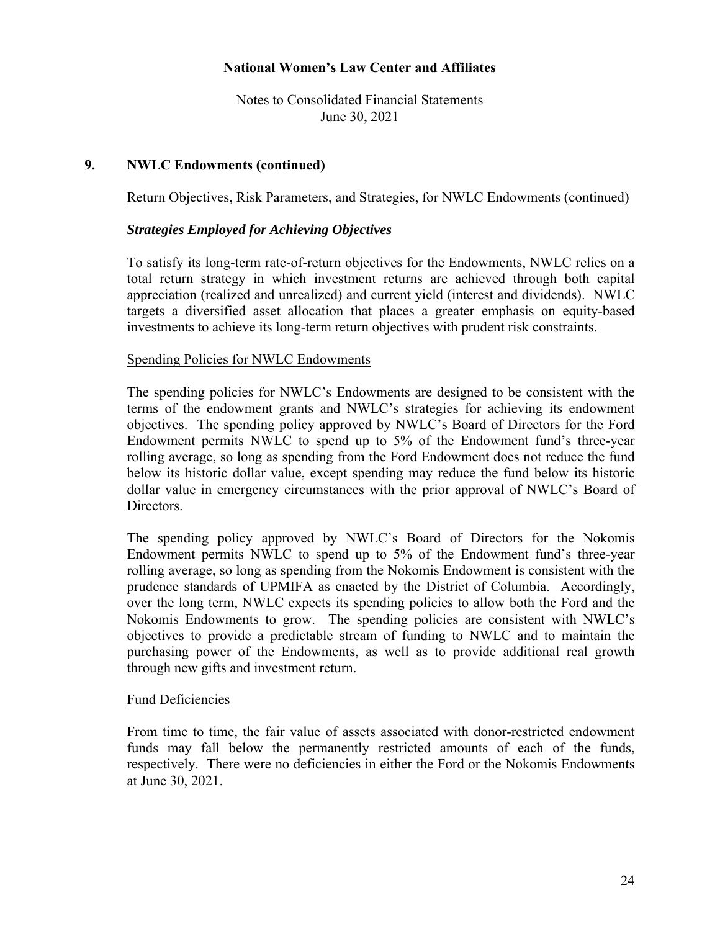Notes to Consolidated Financial Statements June 30, 2021

## **9. NWLC Endowments (continued)**

#### Return Objectives, Risk Parameters, and Strategies, for NWLC Endowments (continued)

#### *Strategies Employed for Achieving Objectives*

To satisfy its long-term rate-of-return objectives for the Endowments, NWLC relies on a total return strategy in which investment returns are achieved through both capital appreciation (realized and unrealized) and current yield (interest and dividends). NWLC targets a diversified asset allocation that places a greater emphasis on equity-based investments to achieve its long-term return objectives with prudent risk constraints.

#### Spending Policies for NWLC Endowments

The spending policies for NWLC's Endowments are designed to be consistent with the terms of the endowment grants and NWLC's strategies for achieving its endowment objectives. The spending policy approved by NWLC's Board of Directors for the Ford Endowment permits NWLC to spend up to 5% of the Endowment fund's three-year rolling average, so long as spending from the Ford Endowment does not reduce the fund below its historic dollar value, except spending may reduce the fund below its historic dollar value in emergency circumstances with the prior approval of NWLC's Board of Directors.

The spending policy approved by NWLC's Board of Directors for the Nokomis Endowment permits NWLC to spend up to 5% of the Endowment fund's three-year rolling average, so long as spending from the Nokomis Endowment is consistent with the prudence standards of UPMIFA as enacted by the District of Columbia. Accordingly, over the long term, NWLC expects its spending policies to allow both the Ford and the Nokomis Endowments to grow. The spending policies are consistent with NWLC's objectives to provide a predictable stream of funding to NWLC and to maintain the purchasing power of the Endowments, as well as to provide additional real growth through new gifts and investment return.

#### Fund Deficiencies

From time to time, the fair value of assets associated with donor-restricted endowment funds may fall below the permanently restricted amounts of each of the funds, respectively. There were no deficiencies in either the Ford or the Nokomis Endowments at June 30, 2021.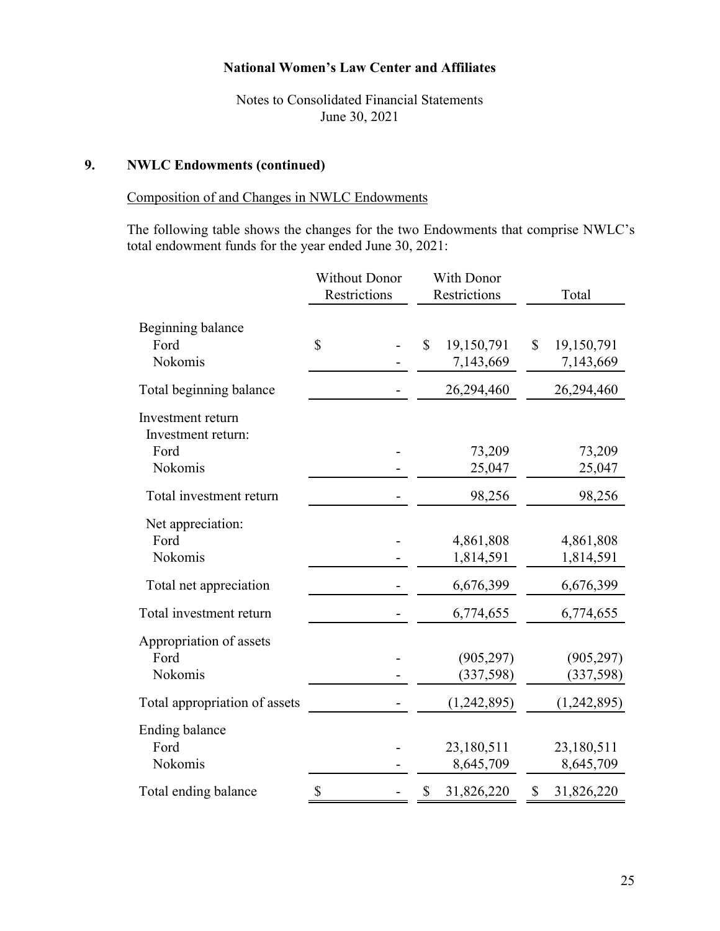Notes to Consolidated Financial Statements June 30, 2021

# **9. NWLC Endowments (continued)**

# Composition of and Changes in NWLC Endowments

The following table shows the changes for the two Endowments that comprise NWLC's total endowment funds for the year ended June 30, 2021:

|                                         | <b>Without Donor</b> | With Donor       |              |             |
|-----------------------------------------|----------------------|------------------|--------------|-------------|
|                                         | Restrictions         | Restrictions     |              | Total       |
| Beginning balance                       |                      |                  |              |             |
| Ford                                    | \$                   | \$<br>19,150,791 | $\mathbb{S}$ | 19,150,791  |
| Nokomis                                 |                      | 7,143,669        |              | 7,143,669   |
| Total beginning balance                 |                      | 26,294,460       |              | 26,294,460  |
| Investment return<br>Investment return: |                      |                  |              |             |
| Ford                                    |                      | 73,209           |              | 73,209      |
| Nokomis                                 |                      | 25,047           |              | 25,047      |
| Total investment return                 |                      | 98,256           |              | 98,256      |
| Net appreciation:                       |                      |                  |              |             |
| Ford                                    |                      | 4,861,808        |              | 4,861,808   |
| Nokomis                                 |                      | 1,814,591        |              | 1,814,591   |
| Total net appreciation                  |                      | 6,676,399        |              | 6,676,399   |
| Total investment return                 |                      | 6,774,655        |              | 6,774,655   |
| Appropriation of assets                 |                      |                  |              |             |
| Ford                                    |                      | (905, 297)       |              | (905, 297)  |
| Nokomis                                 |                      | (337, 598)       |              | (337, 598)  |
| Total appropriation of assets           |                      | (1,242,895)      |              | (1,242,895) |
| <b>Ending balance</b>                   |                      |                  |              |             |
| Ford                                    |                      | 23,180,511       |              | 23,180,511  |
| Nokomis                                 |                      | 8,645,709        |              | 8,645,709   |
| Total ending balance                    | \$                   | \$<br>31,826,220 | \$           | 31,826,220  |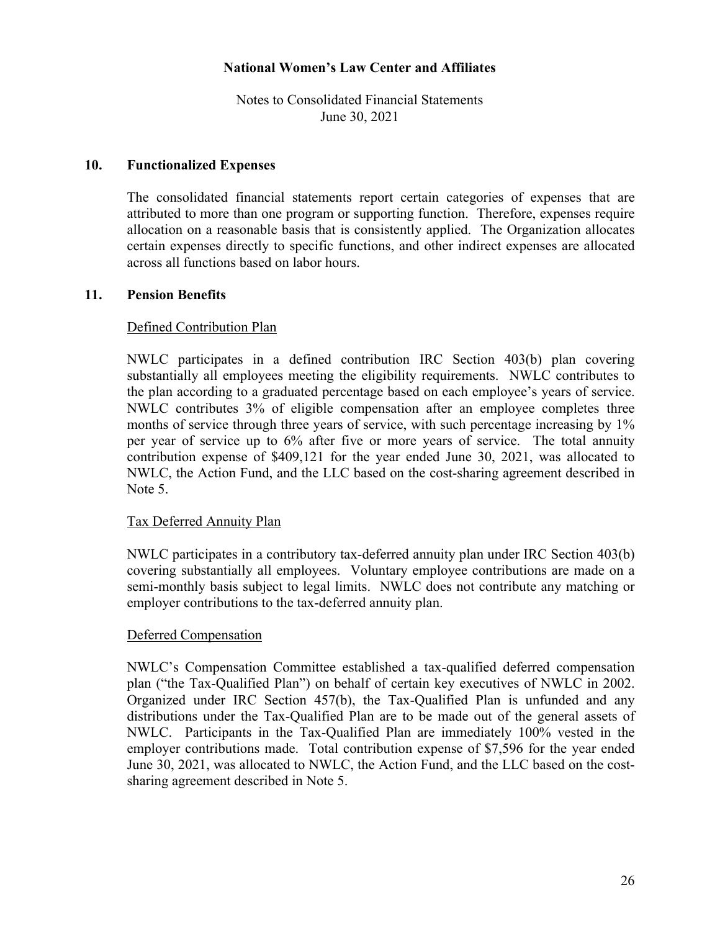Notes to Consolidated Financial Statements June 30, 2021

## **10. Functionalized Expenses**

The consolidated financial statements report certain categories of expenses that are attributed to more than one program or supporting function. Therefore, expenses require allocation on a reasonable basis that is consistently applied. The Organization allocates certain expenses directly to specific functions, and other indirect expenses are allocated across all functions based on labor hours.

#### **11. Pension Benefits**

## Defined Contribution Plan

NWLC participates in a defined contribution IRC Section 403(b) plan covering substantially all employees meeting the eligibility requirements. NWLC contributes to the plan according to a graduated percentage based on each employee's years of service. NWLC contributes 3% of eligible compensation after an employee completes three months of service through three years of service, with such percentage increasing by 1% per year of service up to 6% after five or more years of service. The total annuity contribution expense of \$409,121 for the year ended June 30, 2021, was allocated to NWLC, the Action Fund, and the LLC based on the cost-sharing agreement described in Note 5.

#### Tax Deferred Annuity Plan

NWLC participates in a contributory tax-deferred annuity plan under IRC Section 403(b) covering substantially all employees. Voluntary employee contributions are made on a semi-monthly basis subject to legal limits. NWLC does not contribute any matching or employer contributions to the tax-deferred annuity plan.

#### Deferred Compensation

NWLC's Compensation Committee established a tax-qualified deferred compensation plan ("the Tax-Qualified Plan") on behalf of certain key executives of NWLC in 2002. Organized under IRC Section 457(b), the Tax-Qualified Plan is unfunded and any distributions under the Tax-Qualified Plan are to be made out of the general assets of NWLC. Participants in the Tax-Qualified Plan are immediately 100% vested in the employer contributions made. Total contribution expense of \$7,596 for the year ended June 30, 2021, was allocated to NWLC, the Action Fund, and the LLC based on the costsharing agreement described in Note 5.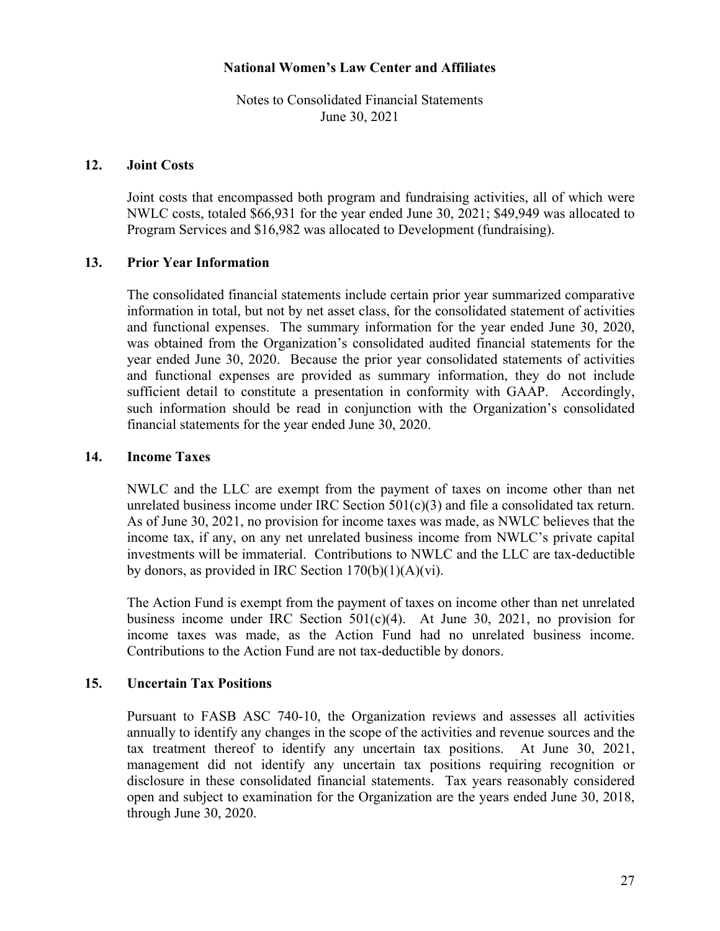Notes to Consolidated Financial Statements June 30, 2021

#### **12. Joint Costs**

Joint costs that encompassed both program and fundraising activities, all of which were NWLC costs, totaled \$66,931 for the year ended June 30, 2021; \$49,949 was allocated to Program Services and \$16,982 was allocated to Development (fundraising).

## **13. Prior Year Information**

The consolidated financial statements include certain prior year summarized comparative information in total, but not by net asset class, for the consolidated statement of activities and functional expenses. The summary information for the year ended June 30, 2020, was obtained from the Organization's consolidated audited financial statements for the year ended June 30, 2020. Because the prior year consolidated statements of activities and functional expenses are provided as summary information, they do not include sufficient detail to constitute a presentation in conformity with GAAP. Accordingly, such information should be read in conjunction with the Organization's consolidated financial statements for the year ended June 30, 2020.

#### **14. Income Taxes**

NWLC and the LLC are exempt from the payment of taxes on income other than net unrelated business income under IRC Section  $501(c)(3)$  and file a consolidated tax return. As of June 30, 2021, no provision for income taxes was made, as NWLC believes that the income tax, if any, on any net unrelated business income from NWLC's private capital investments will be immaterial. Contributions to NWLC and the LLC are tax-deductible by donors, as provided in IRC Section  $170(b)(1)(A)(vi)$ .

The Action Fund is exempt from the payment of taxes on income other than net unrelated business income under IRC Section 501(c)(4). At June 30, 2021, no provision for income taxes was made, as the Action Fund had no unrelated business income. Contributions to the Action Fund are not tax-deductible by donors.

## **15. Uncertain Tax Positions**

Pursuant to FASB ASC 740-10, the Organization reviews and assesses all activities annually to identify any changes in the scope of the activities and revenue sources and the tax treatment thereof to identify any uncertain tax positions. At June 30, 2021, management did not identify any uncertain tax positions requiring recognition or disclosure in these consolidated financial statements. Tax years reasonably considered open and subject to examination for the Organization are the years ended June 30, 2018, through June 30, 2020.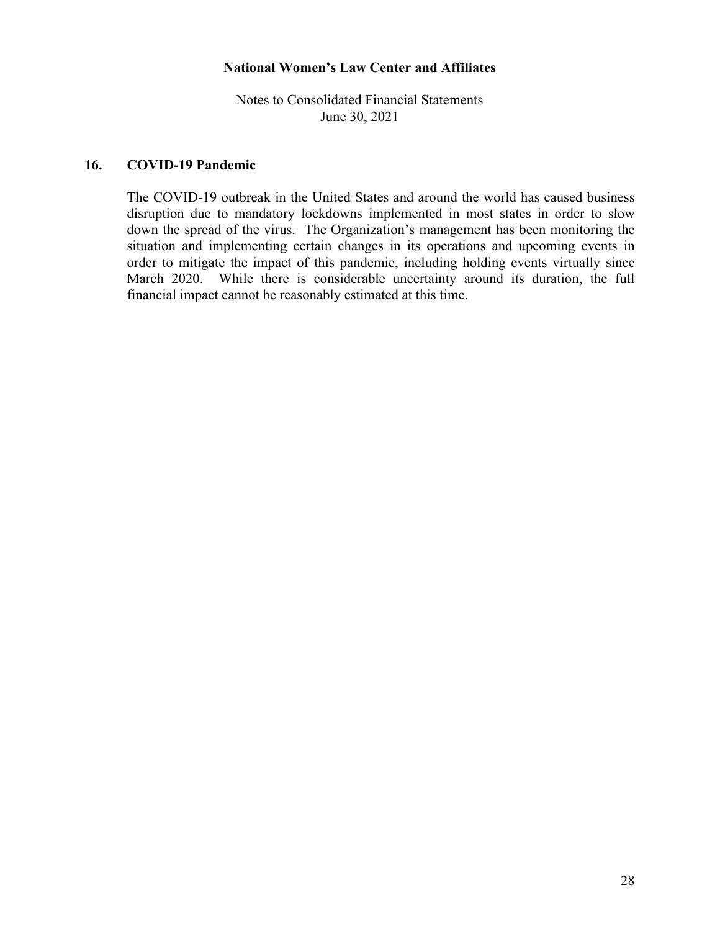Notes to Consolidated Financial Statements June 30, 2021

#### **16. COVID-19 Pandemic**

The COVID-19 outbreak in the United States and around the world has caused business disruption due to mandatory lockdowns implemented in most states in order to slow down the spread of the virus. The Organization's management has been monitoring the situation and implementing certain changes in its operations and upcoming events in order to mitigate the impact of this pandemic, including holding events virtually since March 2020. While there is considerable uncertainty around its duration, the full financial impact cannot be reasonably estimated at this time.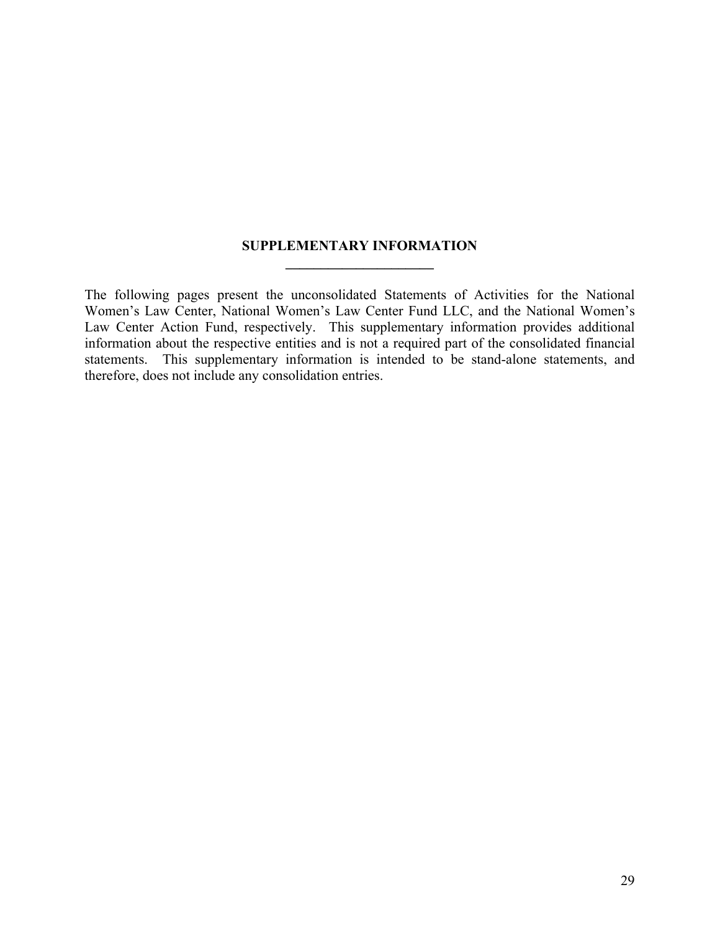# **SUPPLEMENTARY INFORMATION \_\_\_\_\_\_\_\_\_\_\_\_\_\_\_\_\_\_\_\_\_**

The following pages present the unconsolidated Statements of Activities for the National Women's Law Center, National Women's Law Center Fund LLC, and the National Women's Law Center Action Fund, respectively. This supplementary information provides additional information about the respective entities and is not a required part of the consolidated financial statements. This supplementary information is intended to be stand-alone statements, and therefore, does not include any consolidation entries.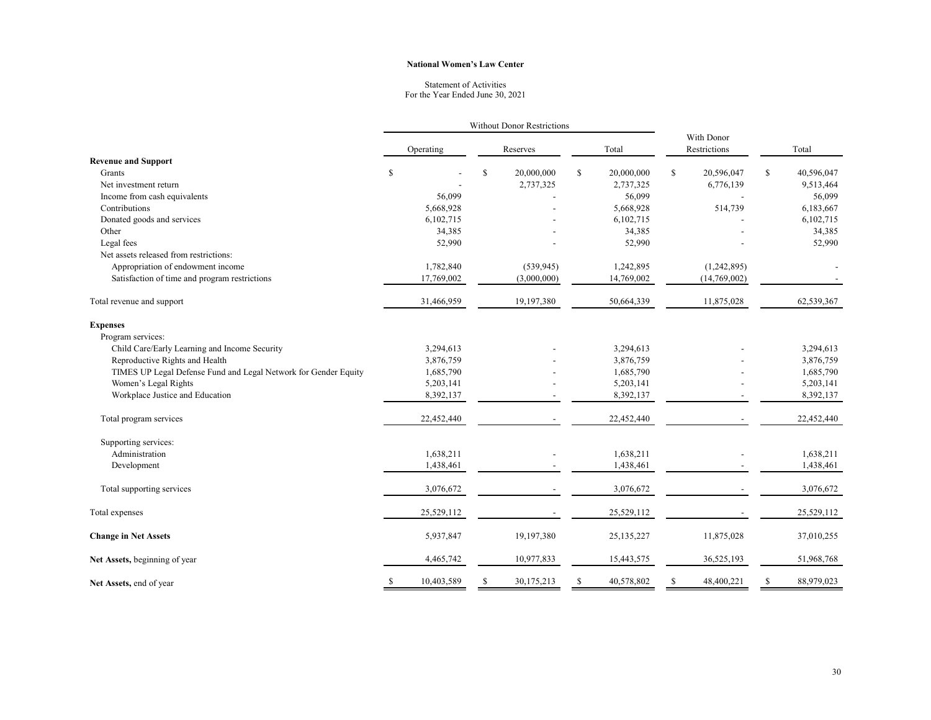#### **National Women's Law Center**

#### Statement of Activities For the Year Ended June 30, 2021

|                                                                 | <b>Without Donor Restrictions</b> |            |    |             |              |            |                            |               |            |
|-----------------------------------------------------------------|-----------------------------------|------------|----|-------------|--------------|------------|----------------------------|---------------|------------|
|                                                                 |                                   | Operating  |    | Reserves    |              | Total      | With Donor<br>Restrictions |               | Total      |
| <b>Revenue and Support</b>                                      |                                   |            |    |             |              |            |                            |               |            |
| Grants                                                          | \$                                |            | \$ | 20,000,000  | $\mathbb{S}$ | 20,000,000 | \$<br>20,596,047           | <sup>\$</sup> | 40,596,047 |
| Net investment return                                           |                                   |            |    | 2,737,325   |              | 2,737,325  | 6,776,139                  |               | 9,513,464  |
| Income from cash equivalents                                    |                                   | 56,099     |    |             |              | 56,099     |                            |               | 56,099     |
| Contributions                                                   |                                   | 5,668,928  |    |             |              | 5,668,928  | 514,739                    |               | 6,183,667  |
| Donated goods and services                                      |                                   | 6,102,715  |    |             |              | 6,102,715  |                            |               | 6,102,715  |
| Other                                                           |                                   | 34,385     |    |             |              | 34,385     |                            |               | 34,385     |
| Legal fees                                                      |                                   | 52,990     |    |             |              | 52,990     |                            |               | 52,990     |
| Net assets released from restrictions:                          |                                   |            |    |             |              |            |                            |               |            |
| Appropriation of endowment income                               |                                   | 1,782,840  |    | (539, 945)  |              | 1,242,895  | (1,242,895)                |               |            |
| Satisfaction of time and program restrictions                   |                                   | 17,769,002 |    | (3,000,000) |              | 14,769,002 | (14,769,002)               |               |            |
| Total revenue and support                                       |                                   | 31,466,959 |    | 19,197,380  |              | 50,664,339 | 11,875,028                 |               | 62,539,367 |
| <b>Expenses</b>                                                 |                                   |            |    |             |              |            |                            |               |            |
| Program services:                                               |                                   |            |    |             |              |            |                            |               |            |
| Child Care/Early Learning and Income Security                   |                                   | 3,294,613  |    |             |              | 3,294,613  |                            |               | 3,294,613  |
| Reproductive Rights and Health                                  |                                   | 3,876,759  |    |             |              | 3,876,759  |                            |               | 3,876,759  |
| TIMES UP Legal Defense Fund and Legal Network for Gender Equity |                                   | 1,685,790  |    |             |              | 1,685,790  |                            |               | 1,685,790  |
| Women's Legal Rights                                            |                                   | 5,203,141  |    |             |              | 5,203,141  |                            |               | 5,203,141  |
| Workplace Justice and Education                                 |                                   | 8,392,137  |    |             |              | 8,392,137  |                            |               | 8,392,137  |
| Total program services                                          |                                   | 22,452,440 |    |             |              | 22,452,440 |                            |               | 22,452,440 |
| Supporting services:                                            |                                   |            |    |             |              |            |                            |               |            |
| Administration                                                  |                                   | 1,638,211  |    |             |              | 1,638,211  |                            |               | 1,638,211  |
| Development                                                     |                                   | 1,438,461  |    |             |              | 1,438,461  |                            |               | 1,438,461  |
| Total supporting services                                       |                                   | 3,076,672  |    |             |              | 3,076,672  |                            |               | 3,076,672  |
| Total expenses                                                  |                                   | 25,529,112 |    |             |              | 25,529,112 |                            |               | 25,529,112 |
| <b>Change in Net Assets</b>                                     |                                   | 5,937,847  |    | 19,197,380  |              | 25,135,227 | 11,875,028                 |               | 37,010,255 |
| Net Assets, beginning of year                                   |                                   | 4,465,742  |    | 10,977,833  |              | 15,443,575 | 36,525,193                 |               | 51,968,768 |
| Net Assets, end of year                                         | \$                                | 10,403,589 | S  | 30,175,213  | S            | 40,578,802 | \$<br>48,400,221           | <sup>\$</sup> | 88,979,023 |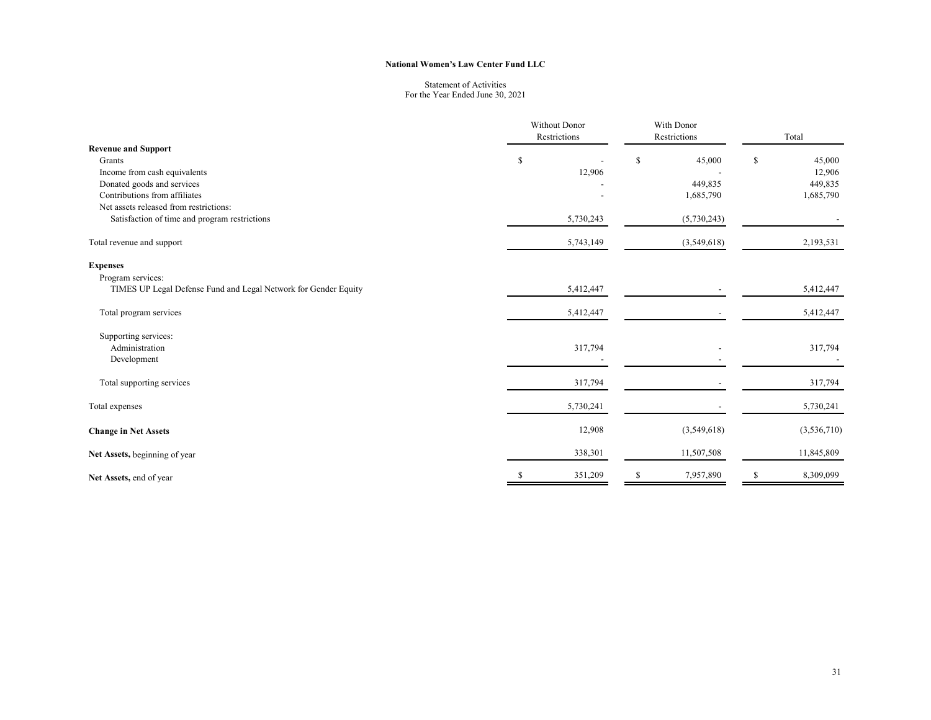#### **National Women's Law Center Fund LLC**

#### Statement of Activities For the Year Ended June 30, 2021

|                                                                 | Without Donor<br>Restrictions | With Donor<br>Restrictions | Total          |  |
|-----------------------------------------------------------------|-------------------------------|----------------------------|----------------|--|
| <b>Revenue and Support</b>                                      |                               |                            |                |  |
| Grants                                                          | <sup>\$</sup>                 | 45,000<br>\$               | \$<br>45,000   |  |
| Income from cash equivalents                                    | 12,906                        |                            | 12,906         |  |
| Donated goods and services                                      |                               | 449,835                    | 449,835        |  |
| Contributions from affiliates                                   |                               | 1,685,790                  | 1,685,790      |  |
| Net assets released from restrictions:                          |                               |                            |                |  |
| Satisfaction of time and program restrictions                   | 5,730,243                     | (5,730,243)                |                |  |
| Total revenue and support                                       | 5,743,149                     | (3,549,618)                | 2,193,531      |  |
| <b>Expenses</b>                                                 |                               |                            |                |  |
| Program services:                                               |                               |                            |                |  |
| TIMES UP Legal Defense Fund and Legal Network for Gender Equity | 5,412,447                     |                            | 5,412,447      |  |
| Total program services                                          | 5,412,447                     |                            | 5,412,447      |  |
| Supporting services:                                            |                               |                            |                |  |
| Administration                                                  | 317,794                       |                            | 317,794        |  |
| Development                                                     |                               |                            |                |  |
| Total supporting services                                       | 317,794                       |                            | 317,794        |  |
| Total expenses                                                  | 5,730,241                     |                            | 5,730,241      |  |
| <b>Change in Net Assets</b>                                     | 12,908                        | (3,549,618)                | (3,536,710)    |  |
| Net Assets, beginning of year                                   | 338,301                       | 11,507,508                 | 11,845,809     |  |
| Net Assets, end of year                                         | 351,209                       | 7,957,890<br>S             | 8,309,099<br>S |  |